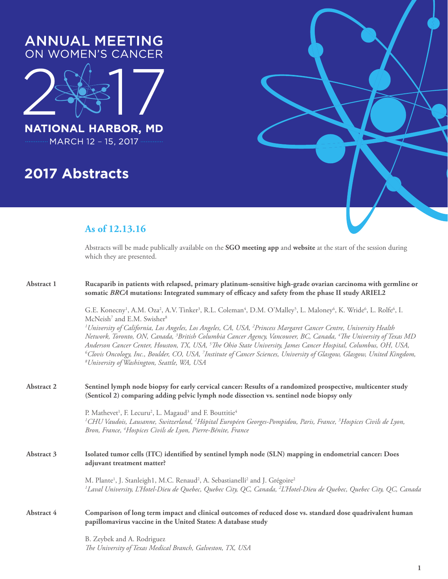

# **2017 Abstracts**



Abstracts will be made publically available on the **SGO meeting app** and **website** at the start of the session during which they are presented.

| Abstract 1 | Rucaparib in patients with relapsed, primary platinum-sensitive high-grade ovarian carcinoma with germline or<br>somatic BRCA mutations: Integrated summary of efficacy and safety from the phase II study ARIEL2                                                                                                                                                                                                                                                                                                                                                                                                                    |
|------------|--------------------------------------------------------------------------------------------------------------------------------------------------------------------------------------------------------------------------------------------------------------------------------------------------------------------------------------------------------------------------------------------------------------------------------------------------------------------------------------------------------------------------------------------------------------------------------------------------------------------------------------|
|            | G.E. Konecny <sup>1</sup> , A.M. Oza <sup>2</sup> , A.V. Tinker <sup>3</sup> , R.L. Coleman <sup>4</sup> , D.M. O'Malley <sup>5</sup> , L. Maloney <sup>6</sup> , K. Wride <sup>6</sup> , L. Rolfe <sup>6</sup> , I.<br>McNeish <sup>7</sup> and E.M. Swisher <sup>8</sup>                                                                                                                                                                                                                                                                                                                                                           |
|            | <sup>1</sup> University of California, Los Angeles, Los Angeles, CA, USA, <sup>2</sup> Princess Margaret Cancer Centre, University Health<br>Network, Toronto, ON, Canada, <sup>3</sup> British Columbia Cancer Agency, Vancouver, BC, Canada, <sup>4</sup> The University of Texas MD<br>Anderson Cancer Center, Houston, TX, USA, <sup>5</sup> The Ohio State University, James Cancer Hospital, Columbus, OH, USA,<br><sup>6</sup> Clovis Oncology, Inc., Boulder, CO, USA, <sup>7</sup> Institute of Cancer Sciences, University of Glasgow, Glasgow, United Kingdom,<br><sup>8</sup> University of Washington, Seattle, WA, USA |
| Abstract 2 | Sentinel lymph node biopsy for early cervical cancer: Results of a randomized prospective, multicenter study<br>(Senticol 2) comparing adding pelvic lymph node dissection vs. sentinel node biopsy only                                                                                                                                                                                                                                                                                                                                                                                                                             |
|            | P. Mathevet <sup>1</sup> , F. Lecuru <sup>2</sup> , L. Magaud <sup>3</sup> and F. Bouttitie <sup>4</sup><br><sup>1</sup> CHU Vaudois, Lausanne, Switzerland, <sup>2</sup> Hôpital Européen Georges-Pompidou, Paris, France, <sup>3</sup> Hospices Civils de Lyon,<br>Bron, France, <sup>4</sup> Hospices Civils de Lyon, Pierre-Bénite, France                                                                                                                                                                                                                                                                                       |
| Abstract 3 | Isolated tumor cells (ITC) identified by sentinel lymph node (SLN) mapping in endometrial cancer: Does<br>adjuvant treatment matter?                                                                                                                                                                                                                                                                                                                                                                                                                                                                                                 |
|            | M. Plante <sup>1</sup> , J. Stanleigh1, M.C. Renaud <sup>2</sup> , A. Sebastianelli <sup>2</sup> and J. Grégoire <sup>2</sup><br><sup>1</sup> Laval University, L'Hotel-Dieu de Quebec, Quebec City, QC, Canada, <sup>2</sup> L'Hotel-Dieu de Quebec, Quebec City, QC, Canada                                                                                                                                                                                                                                                                                                                                                        |
| Abstract 4 | Comparison of long term impact and clinical outcomes of reduced dose vs. standard dose quadrivalent human<br>papillomavirus vaccine in the United States: A database study                                                                                                                                                                                                                                                                                                                                                                                                                                                           |
|            | B. Zeybek and A. Rodriguez<br>The University of Texas Medical Branch, Galveston, TX, USA                                                                                                                                                                                                                                                                                                                                                                                                                                                                                                                                             |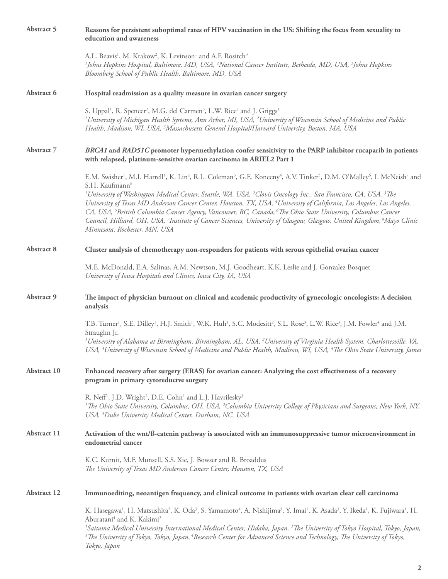| Abstract 5  | Reasons for persistent suboptimal rates of HPV vaccination in the US: Shifting the focus from sexuality to<br>education and awareness                                                                                                                                                                                                                                                                                                                                                                                                                                                                     |
|-------------|-----------------------------------------------------------------------------------------------------------------------------------------------------------------------------------------------------------------------------------------------------------------------------------------------------------------------------------------------------------------------------------------------------------------------------------------------------------------------------------------------------------------------------------------------------------------------------------------------------------|
|             | A.L. Beavis <sup>1</sup> , M. Krakow <sup>2</sup> , K. Levinson <sup>1</sup> and A.F. Rositch <sup>3</sup><br><sup>1</sup> Johns Hopkins Hospital, Baltimore, MD, USA, <sup>2</sup> National Cancer Institute, Bethesda, MD, USA, <sup>3</sup> Johns Hopkins<br>Bloomberg School of Public Health, Baltimore, MD, USA                                                                                                                                                                                                                                                                                     |
| Abstract 6  | Hospital readmission as a quality measure in ovarian cancer surgery                                                                                                                                                                                                                                                                                                                                                                                                                                                                                                                                       |
|             | S. Uppal <sup>1</sup> , R. Spencer <sup>2</sup> , M.G. del Carmen <sup>3</sup> , L.W. Rice <sup>2</sup> and J. Griggs <sup>1</sup><br><sup>1</sup> University of Michigan Health Systems, Ann Arbor, MI, USA, <sup>2</sup> University of Wisconsin School of Medicine and Public<br>Health, Madison, WI, USA, <sup>3</sup> Massachusetts General Hospital/Harvard University, Boston, MA, USA                                                                                                                                                                                                             |
| Abstract 7  | BRCA1 and RAD51C promoter hypermethylation confer sensitivity to the PARP inhibitor rucaparib in patients<br>with relapsed, platinum-sensitive ovarian carcinoma in ARIEL2 Part 1                                                                                                                                                                                                                                                                                                                                                                                                                         |
|             | E.M. Swisher <sup>1</sup> , M.I. Harrell <sup>1</sup> , K. Lin <sup>2</sup> , R.L. Coleman <sup>3</sup> , G.E. Konecny <sup>4</sup> , A.V. Tinker <sup>5</sup> , D.M. O'Malley <sup>6</sup> , I. McNeish <sup>7</sup> and<br>S.H. Kaufmann <sup>8</sup>                                                                                                                                                                                                                                                                                                                                                   |
|             | <sup>1</sup> University of Washington Medical Center, Seattle, WA, USA, <sup>2</sup> Clovis Oncology Inc., San Francisco, CA, USA, <sup>3</sup> The<br>University of Texas MD Anderson Cancer Center, Houston, TX, USA, <sup>4</sup> University of California, Los Angeles, Los Angeles,<br>CA, USA, <sup>5</sup> British Columbia Cancer Agency, Vancouver, BC, Canada, <sup>6</sup> The Ohio State University, Columbus Cancer<br>Council, Hilliard, OH, USA, 7Institute of Cancer Sciences, University of Glasgow, Glasgow, United Kingdom, <sup>8</sup> Mayo Clinic<br>Minnesota, Rochester, MN, USA  |
| Abstract 8  | Cluster analysis of chemotherapy non-responders for patients with serous epithelial ovarian cancer                                                                                                                                                                                                                                                                                                                                                                                                                                                                                                        |
|             | M.E. McDonald, E.A. Salinas, A.M. Newtson, M.J. Goodheart, K.K. Leslie and J. Gonzalez Bosquet<br>University of Iowa Hospitals and Clinics, Iowa City, IA, USA                                                                                                                                                                                                                                                                                                                                                                                                                                            |
| Abstract 9  | The impact of physician burnout on clinical and academic productivity of gynecologic oncologists: A decision<br>analysis                                                                                                                                                                                                                                                                                                                                                                                                                                                                                  |
|             | T.B. Turner <sup>1</sup> , S.E. Dilley <sup>1</sup> , H.J. Smith <sup>1</sup> , W.K. Huh <sup>1</sup> , S.C. Modesitt <sup>2</sup> , S.L. Rose <sup>3</sup> , L.W. Rice <sup>3</sup> , J.M. Fowler <sup>4</sup> and J.M.<br>Straughn Jr. <sup>1</sup>                                                                                                                                                                                                                                                                                                                                                     |
|             | <sup>1</sup> University of Alabama at Birmingham, Birmingham, AL, USA, <sup>2</sup> University of Virginia Health System, Charlottesville, VA,<br>USA, <sup>3</sup> University of Wisconsin School of Medicine and Public Health, Madison, WI, USA, <sup>4</sup> The Ohio State University, James                                                                                                                                                                                                                                                                                                         |
| Abstract 10 | Enhanced recovery after surgery (ERAS) for ovarian cancer: Analyzing the cost effectiveness of a recovery<br>program in primary cytoreductve surgery                                                                                                                                                                                                                                                                                                                                                                                                                                                      |
|             | R. Neff <sup>1</sup> , J.D. Wright <sup>2</sup> , D.E. Cohn <sup>1</sup> and L.J. Havrilesky <sup>3</sup><br><sup>1</sup> The Ohio State University, Columbus, OH, USA, <sup>2</sup> Columbia University College of Physicians and Surgeons, New York, NY,<br>USA, <sup>3</sup> Duke University Medical Center, Durham, NC, USA                                                                                                                                                                                                                                                                           |
| Abstract 11 | Activation of the wnt/ß-catenin pathway is associated with an immunosuppressive tumor microenvironment in<br>endometrial cancer                                                                                                                                                                                                                                                                                                                                                                                                                                                                           |
|             | K.C. Kurnit, M.F. Munsell, S.S. Xie, J. Bowser and R. Broaddus<br>The University of Texas MD Anderson Cancer Center, Houston, TX, USA                                                                                                                                                                                                                                                                                                                                                                                                                                                                     |
| Abstract 12 | Immunoediting, neoantigen frequency, and clinical outcome in patients with ovarian clear cell carcinoma                                                                                                                                                                                                                                                                                                                                                                                                                                                                                                   |
|             | K. Hasegawa <sup>1</sup> , H. Matsushita <sup>2</sup> , K. Oda <sup>3</sup> , S. Yamamoto <sup>4</sup> , A. Nishijima <sup>3</sup> , Y. Imai <sup>1</sup> , K. Asada <sup>3</sup> , Y. Ikeda <sup>1</sup> , K. Fujiwara <sup>1</sup> , H.<br>Aburatani4 and K. Kakimi <sup>2</sup><br><sup>1</sup> Saitama Medical University International Medical Center, Hidaka, Japan, <sup>2</sup> The University of Tokyo Hospital, Tokyo, Japan,<br><sup>3</sup> The University of Tokyo, Tokyo, Japan, <sup>4</sup> Research Center for Advanced Science and Technology, The University of Tokyo,<br>Tokyo, Japan |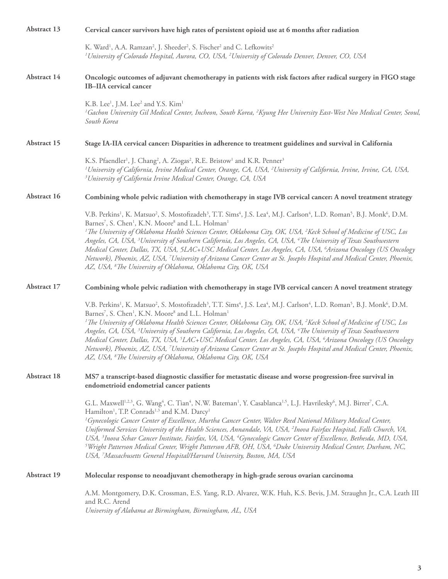| Abstract 13 | Cervical cancer survivors have high rates of persistent opioid use at 6 months after radiation                                                                                                                                                                                                                                                                                                                                                                                                                                                                                                                                                                                                                                                                                                                                                                                                                                                                                    |
|-------------|-----------------------------------------------------------------------------------------------------------------------------------------------------------------------------------------------------------------------------------------------------------------------------------------------------------------------------------------------------------------------------------------------------------------------------------------------------------------------------------------------------------------------------------------------------------------------------------------------------------------------------------------------------------------------------------------------------------------------------------------------------------------------------------------------------------------------------------------------------------------------------------------------------------------------------------------------------------------------------------|
|             | K. Ward <sup>1</sup> , A.A. Ramzan <sup>2</sup> , J. Sheeder <sup>2</sup> , S. Fischer <sup>2</sup> and C. Lefkowits <sup>2</sup><br><sup>1</sup> University of Colorado Hospital, Aurora, CO, USA, <sup>2</sup> University of Colorado Denver, Denver, CO, USA                                                                                                                                                                                                                                                                                                                                                                                                                                                                                                                                                                                                                                                                                                                   |
| Abstract 14 | Oncologic outcomes of adjuvant chemotherapy in patients with risk factors after radical surgery in FIGO stage<br><b>IB-IIA</b> cervical cancer                                                                                                                                                                                                                                                                                                                                                                                                                                                                                                                                                                                                                                                                                                                                                                                                                                    |
|             | K.B. Lee <sup>1</sup> , J.M. Lee <sup>2</sup> and Y.S. Kim <sup>1</sup><br><sup>1</sup> Gachon University Gil Medical Center, Incheon, South Korea, <sup>2</sup> Kyung Hee University East-West Neo Medical Center, Seoul,<br>South Korea                                                                                                                                                                                                                                                                                                                                                                                                                                                                                                                                                                                                                                                                                                                                         |
| Abstract 15 | Stage IA-IIA cervical cancer: Disparities in adherence to treatment guidelines and survival in California                                                                                                                                                                                                                                                                                                                                                                                                                                                                                                                                                                                                                                                                                                                                                                                                                                                                         |
|             | K.S. Pfaendler <sup>1</sup> , J. Chang <sup>2</sup> , A. Ziogas <sup>2</sup> , R.E. Bristow <sup>1</sup> and K.R. Penner <sup>3</sup><br><sup>1</sup> University of California, Irvine Medical Center, Orange, CA, USA, <sup>2</sup> University of California, Irvine, Irvine, CA, USA,<br><sup>3</sup> University of California Irvine Medical Center, Orange, CA, USA                                                                                                                                                                                                                                                                                                                                                                                                                                                                                                                                                                                                           |
| Abstract 16 | Combining whole pelvic radiation with chemotherapy in stage IVB cervical cancer: A novel treatment strategy                                                                                                                                                                                                                                                                                                                                                                                                                                                                                                                                                                                                                                                                                                                                                                                                                                                                       |
|             | V.B. Perkins <sup>1</sup> , K. Matsuo <sup>2</sup> , S. Mostofizadeh <sup>3</sup> , T.T. Sims <sup>4</sup> , J.S. Lea <sup>4</sup> , M.J. Carlson <sup>4</sup> , L.D. Roman <sup>5</sup> , B.J. Monk <sup>6</sup> , D.M.<br>Barnes <sup>7</sup> , S. Chen <sup>1</sup> , K.N. Moore <sup>8</sup> and L.L. Holman <sup>1</sup>                                                                                                                                                                                                                                                                                                                                                                                                                                                                                                                                                                                                                                                     |
|             | <sup>1</sup> The University of Oklahoma Health Sciences Center, Oklahoma City, OK, USA, <sup>2</sup> Keck School of Medicine of USC, Los<br>Angeles, CA, USA, <sup>3</sup> University of Southern California, Los Angeles, CA, USA, <sup>4</sup> The University of Texas Southwestern<br>Medical Center, Dallas, TX, USA, 5LAC+USC Medical Center, Los Angeles, CA, USA, <sup>6</sup> Arizona Oncology (US Oncology<br>Network), Phoenix, AZ, USA, <sup>7</sup> University of Arizona Cancer Center at St. Josephs Hospital and Medical Center, Phoenix,<br>AZ, USA, <sup>8</sup> The University of Oklahoma, Oklahoma City, OK, USA                                                                                                                                                                                                                                                                                                                                              |
| Abstract 17 | Combining whole pelvic radiation with chemotherapy in stage IVB cervical cancer: A novel treatment strategy                                                                                                                                                                                                                                                                                                                                                                                                                                                                                                                                                                                                                                                                                                                                                                                                                                                                       |
|             | V.B. Perkins <sup>1</sup> , K. Matsuo <sup>2</sup> , S. Mostofizadeh <sup>3</sup> , T.T. Sims <sup>4</sup> , J.S. Lea <sup>4</sup> , M.J. Carlson <sup>4</sup> , L.D. Roman <sup>5</sup> , B.J. Monk <sup>6</sup> , D.M.<br>Barnes <sup>7</sup> , S. Chen <sup>1</sup> , K.N. Moore <sup>8</sup> and L.L. Holman <sup>1</sup><br><sup>1</sup> The University of Oklahoma Health Sciences Center, Oklahoma City, OK, USA, <sup>2</sup> Keck School of Medicine of USC, Los<br>Angeles, CA, USA, <sup>3</sup> University of Southern California, Los Angeles, CA, USA, <sup>4</sup> The University of Texas Southwestern<br>Medical Center, Dallas, TX, USA, <sup>5</sup> LAC+USC Medical Center, Los Angeles, CA, USA, <sup>6</sup> Arizona Oncology (US Oncology<br>Network), Phoenix, AZ, USA, <sup>7</sup> University of Arizona Cancer Center at St. Josephs Hospital and Medical Center, Phoenix,<br>AZ, USA, <sup>8</sup> The University of Oklahoma, Oklahoma City, OK, USA |
| Abstract 18 | MS7 a transcript-based diagnostic classifier for metastatic disease and worse progression-free survival in<br>endometrioid endometrial cancer patients                                                                                                                                                                                                                                                                                                                                                                                                                                                                                                                                                                                                                                                                                                                                                                                                                            |
|             | G.L. Maxwell <sup>1,2,3</sup> , G. Wang <sup>4</sup> , C. Tian <sup>4</sup> , N.W. Bateman <sup>1</sup> , Y. Casablanca <sup>1,5</sup> , L.J. Havrilesky <sup>6</sup> , M.J. Birrer <sup>7</sup> , C.A.<br>Hamilton <sup>1</sup> , T.P. Conrads <sup>1,3</sup> and K.M. Darcy <sup>1</sup><br><sup>1</sup> Gynecologic Cancer Center of Excellence, Murtha Cancer Center, Walter Reed National Military Medical Center,<br>Uniformed Services University of the Health Sciences, Annandale, VA, USA, <sup>2</sup> Inova Fairfax Hospital, Falls Church, VA,<br>USA, <sup>3</sup> Inova Schar Cancer Institute, Fairfax, VA, USA, <sup>4</sup> Gynecologic Cancer Center of Excellence, Bethesda, MD, USA,<br><sup>5</sup> Wright Patterson Medical Center, Wright Patterson AFB, OH, USA, <sup>6</sup> Duke University Medical Center, Durham, NC,<br>USA, <sup>7</sup> Massachusetts General Hospital/Harvard University, Boston, MA, USA                                        |
| Abstract 19 | Molecular response to neoadjuvant chemotherapy in high-grade serous ovarian carcinoma                                                                                                                                                                                                                                                                                                                                                                                                                                                                                                                                                                                                                                                                                                                                                                                                                                                                                             |
|             | A.M. Montgomery, D.K. Crossman, E.S. Yang, R.D. Alvarez, W.K. Huh, K.S. Bevis, J.M. Straughn Jr., C.A. Leath III<br>and R.C. Arend<br>University of Alabama at Birmingham, Birmingham, AL, USA                                                                                                                                                                                                                                                                                                                                                                                                                                                                                                                                                                                                                                                                                                                                                                                    |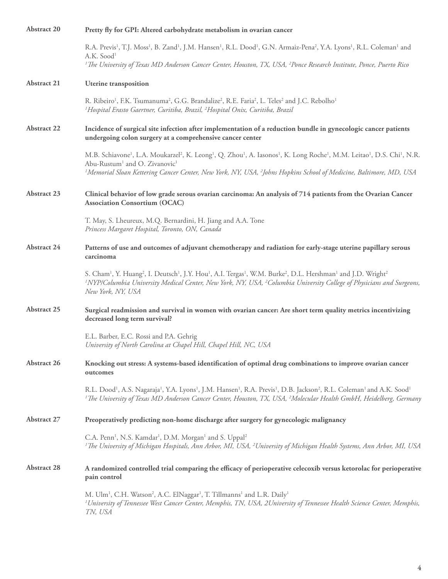| <b>Abstract 20</b> | Pretty fly for GPI: Altered carbohydrate metabolism in ovarian cancer                                                                                                                                                                                                                                                                                                                                                           |
|--------------------|---------------------------------------------------------------------------------------------------------------------------------------------------------------------------------------------------------------------------------------------------------------------------------------------------------------------------------------------------------------------------------------------------------------------------------|
|                    | R.A. Previs <sup>1</sup> , T.J. Moss <sup>1</sup> , B. Zand <sup>1</sup> , J.M. Hansen <sup>1</sup> , R.L. Dood <sup>1</sup> , G.N. Armaiz-Pena <sup>2</sup> , Y.A. Lyons <sup>1</sup> , R.L. Coleman <sup>1</sup> and<br>A.K. Sood <sup>1</sup>                                                                                                                                                                                |
|                    | <sup>1</sup> The University of Texas MD Anderson Cancer Center, Houston, TX, USA, <sup>2</sup> Ponce Research Institute, Ponce, Puerto Rico                                                                                                                                                                                                                                                                                     |
| <b>Abstract 21</b> | <b>Uterine</b> transposition                                                                                                                                                                                                                                                                                                                                                                                                    |
|                    | R. Ribeiro <sup>1</sup> , F.K. Tsumanuma <sup>2</sup> , G.G. Brandalize <sup>2</sup> , R.E. Faria <sup>2</sup> , L. Teles <sup>2</sup> and J.C. Rebolho <sup>1</sup><br><sup>1</sup> Hospital Erasto Gaertner, Curitiba, Brazil, <sup>2</sup> Hospital Onix, Curitiba, Brazil                                                                                                                                                   |
| <b>Abstract 22</b> | Incidence of surgical site infection after implementation of a reduction bundle in gynecologic cancer patients<br>undergoing colon surgery at a comprehensive cancer center                                                                                                                                                                                                                                                     |
|                    | M.B. Schiavone <sup>1</sup> , L.A. Moukarzel <sup>2</sup> , K. Leong <sup>1</sup> , Q. Zhou <sup>1</sup> , A. Iasonos <sup>1</sup> , K. Long Roche <sup>1</sup> , M.M. Leitao <sup>1</sup> , D.S. Chi <sup>1</sup> , N.R.<br>Abu-Rustum <sup>1</sup> and O. Zivanovic <sup>1</sup><br><sup>1</sup> Memorial Sloan Kettering Cancer Center, New York, NY, USA, <sup>2</sup> Johns Hopkins School of Medicine, Baltimore, MD, USA |
|                    |                                                                                                                                                                                                                                                                                                                                                                                                                                 |
| Abstract 23        | Clinical behavior of low grade serous ovarian carcinoma: An analysis of 714 patients from the Ovarian Cancer<br><b>Association Consortium (OCAC)</b>                                                                                                                                                                                                                                                                            |
|                    | T. May, S. Lheureux, M.Q. Bernardini, H. Jiang and A.A. Tone<br>Princess Margaret Hospital, Toronto, ON, Canada                                                                                                                                                                                                                                                                                                                 |
| Abstract 24        | Patterns of use and outcomes of adjuvant chemotherapy and radiation for early-stage uterine papillary serous<br>carcinoma                                                                                                                                                                                                                                                                                                       |
|                    | S. Cham <sup>1</sup> , Y. Huang <sup>2</sup> , I. Deutsch <sup>1</sup> , J.Y. Hou <sup>1</sup> , A.I. Tergas <sup>1</sup> , W.M. Burke <sup>2</sup> , D.L. Hershman <sup>1</sup> and J.D. Wright <sup>2</sup><br><sup>1</sup> NYP/Columbia University Medical Center, New York, NY, USA, <sup>2</sup> Columbia University College of Physicians and Surgeons,<br>New York, NY, USA                                              |
| <b>Abstract 25</b> | Surgical readmission and survival in women with ovarian cancer: Are short term quality metrics incentivizing<br>decreased long term survival?                                                                                                                                                                                                                                                                                   |
|                    | E.L. Barber, E.C. Rossi and P.A. Gehrig<br>University of North Carolina at Chapel Hill, Chapel Hill, NC, USA                                                                                                                                                                                                                                                                                                                    |
| Abstract 26        | Knocking out stress: A systems-based identification of optimal drug combinations to improve ovarian cancer<br>outcomes                                                                                                                                                                                                                                                                                                          |
|                    | R.L. Dood <sup>1</sup> , A.S. Nagaraja <sup>1</sup> , Y.A. Lyons <sup>1</sup> , J.M. Hansen <sup>1</sup> , R.A. Previs <sup>1</sup> , D.B. Jackson <sup>2</sup> , R.L. Coleman <sup>1</sup> and A.K. Sood <sup>1</sup><br><sup>1</sup> The University of Texas MD Anderson Cancer Center, Houston, TX, USA, <sup>2</sup> Molecular Health GmbH, Heidelberg, Germany                                                             |
| Abstract 27        | Preoperatively predicting non-home discharge after surgery for gynecologic malignancy                                                                                                                                                                                                                                                                                                                                           |
|                    | C.A. Penn <sup>1</sup> , N.S. Kamdar <sup>1</sup> , D.M. Morgan <sup>1</sup> and S. Uppal <sup>2</sup><br><sup>1</sup> The University of Michigan Hospitals, Ann Arbor, MI, USA, <sup>2</sup> University of Michigan Health Systems, Ann Arbor, MI, USA                                                                                                                                                                         |
| <b>Abstract 28</b> | A randomized controlled trial comparing the efficacy of perioperative celecoxib versus ketorolac for perioperative<br>pain control                                                                                                                                                                                                                                                                                              |
|                    | M. Ulm <sup>1</sup> , C.H. Watson <sup>2</sup> , A.C. ElNaggar <sup>1</sup> , T. Tillmanns <sup>1</sup> and L.R. Daily <sup>1</sup><br><sup>1</sup> University of Tennessee West Cancer Center, Memphis, TN, USA, 2University of Tennessee Health Science Center, Memphis,<br>TN, USA                                                                                                                                           |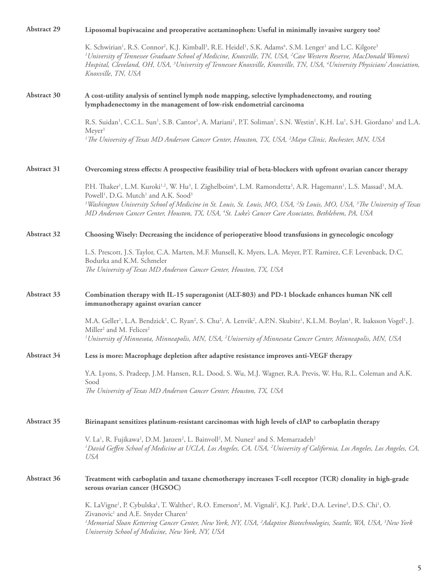| <b>Abstract 29</b> | Liposomal bupivacaine and preoperative acetaminophen: Useful in minimally invasive surgery too?                                                                                                                                                                                                                                                                                                                                                                                                                                                                      |
|--------------------|----------------------------------------------------------------------------------------------------------------------------------------------------------------------------------------------------------------------------------------------------------------------------------------------------------------------------------------------------------------------------------------------------------------------------------------------------------------------------------------------------------------------------------------------------------------------|
|                    | K. Schwirian <sup>1</sup> , R.S. Connor <sup>2</sup> , K.J. Kimball <sup>3</sup> , R.E. Heidel <sup>1</sup> , S.K. Adams <sup>4</sup> , S.M. Lenger <sup>1</sup> and L.C. Kilgore <sup>3</sup><br><sup>1</sup> University of Tennessee Graduate School of Medicine, Knoxville, TN, USA, <sup>2</sup> Case Western Reserve, MacDonald Women's<br>Hospital, Cleveland, OH, USA, <sup>3</sup> University of Tennessee Knoxville, Knoxville, TN, USA, <sup>4</sup> University Physicians' Association,<br>Knoxville, TN, USA                                             |
| Abstract 30        | A cost-utility analysis of sentinel lymph node mapping, selective lymphadenectomy, and routing<br>lymphadenectomy in the management of low-risk endometrial carcinoma                                                                                                                                                                                                                                                                                                                                                                                                |
|                    | R.S. Suidan <sup>1</sup> , C.C.L. Sun <sup>1</sup> , S.B. Cantor <sup>1</sup> , A. Mariani <sup>1</sup> , P.T. Soliman <sup>1</sup> , S.N. Westin <sup>1</sup> , K.H. Lu <sup>1</sup> , S.H. Giordano <sup>1</sup> and L.A.<br>Meyer <sup>1</sup><br><sup>1</sup> The University of Texas MD Anderson Cancer Center, Houston, TX, USA, <sup>2</sup> Mayo Clinic, Rochester, MN, USA                                                                                                                                                                                  |
| Abstract 31        | Overcoming stress effects: A prospective feasibility trial of beta-blockers with upfront ovarian cancer therapy                                                                                                                                                                                                                                                                                                                                                                                                                                                      |
|                    | P.H. Thaker <sup>1</sup> , L.M. Kuroki <sup>1,2</sup> , W. Hu <sup>3</sup> , I. Zighelboim <sup>4</sup> , L.M. Ramondetta <sup>3</sup> , A.R. Hagemann <sup>1</sup> , L.S. Massad <sup>1</sup> , M.A.<br>Powell <sup>1</sup> , D.G. Mutch <sup>1</sup> and A.K. Sood <sup>3</sup><br><sup>1</sup> Washington University School of Medicine in St. Louis, St. Louis, MO, USA, <sup>2</sup> St Louis, MO, USA, <sup>3</sup> The University of Texas<br>MD Anderson Cancer Center, Houston, TX, USA, <sup>4</sup> St. Luke's Cancer Care Associates, Bethlehem, PA, USA |
| Abstract 32        | Choosing Wisely: Decreasing the incidence of perioperative blood transfusions in gynecologic oncology                                                                                                                                                                                                                                                                                                                                                                                                                                                                |
|                    | L.S. Prescott, J.S. Taylor, C.A. Marten, M.F. Munsell, K. Myers, L.A. Meyer, P.T. Ramirez, C.F. Levenback, D.C.<br>Bodurka and K.M. Schmeler<br>The University of Texas MD Anderson Cancer Center, Houston, TX, USA                                                                                                                                                                                                                                                                                                                                                  |
| Abstract 33        | Combination therapy with IL-15 superagonist (ALT-803) and PD-1 blockade enhances human NK cell<br>immunotherapy against ovarian cancer                                                                                                                                                                                                                                                                                                                                                                                                                               |
|                    | M.A. Geller <sup>1</sup> , L.A. Bendzick <sup>1</sup> , C. Ryan <sup>2</sup> , S. Chu <sup>2</sup> , A. Lenvik <sup>2</sup> , A.P.N. Skubitz <sup>1</sup> , K.L.M. Boylan <sup>1</sup> , R. Isaksson Vogel <sup>1</sup> , J.<br>Miller <sup>2</sup> and M. Felices <sup>2</sup><br><sup>1</sup> University of Minnesota, Minneapolis, MN, USA, <sup>2</sup> University of Minnesota Cancer Center, Minneapolis, MN, USA                                                                                                                                              |
| Abstract 34        | Less is more: Macrophage depletion after adaptive resistance improves anti-VEGF therapy                                                                                                                                                                                                                                                                                                                                                                                                                                                                              |
|                    | Y.A. Lyons, S. Pradeep, J.M. Hansen, R.L. Dood, S. Wu, M.J. Wagner, R.A. Previs, W. Hu, R.L. Coleman and A.K.<br>Sood<br>The University of Texas MD Anderson Cancer Center, Houston, TX, USA                                                                                                                                                                                                                                                                                                                                                                         |
| Abstract 35        | Birinapant sensitizes platinum-resistant carcinomas with high levels of cIAP to carboplatin therapy                                                                                                                                                                                                                                                                                                                                                                                                                                                                  |
|                    | V. La <sup>1</sup> , R. Fujikawa <sup>2</sup> , D.M. Janzen <sup>2</sup> , L. Bainvoll <sup>2</sup> , M. Nunez <sup>2</sup> and S. Memarzadeh <sup>2</sup><br><sup>1</sup> David Geffen School of Medicine at UCLA, Los Angeles, CA, USA, <sup>2</sup> University of California, Los Angeles, Los Angeles, CA,<br>USA                                                                                                                                                                                                                                                |
| Abstract 36        | Treatment with carboplatin and taxane chemotherapy increases T-cell receptor (TCR) clonality in high-grade<br>serous ovarian cancer (HGSOC)                                                                                                                                                                                                                                                                                                                                                                                                                          |
|                    | K. LaVigne <sup>1</sup> , P. Cybulska <sup>1</sup> , T. Walther <sup>1</sup> , R.O. Emerson <sup>2</sup> , M. Vignali <sup>2</sup> , K.J. Park <sup>1</sup> , D.A. Levine <sup>3</sup> , D.S. Chi <sup>1</sup> , O.<br>Zivanovic <sup>1</sup> and A.E. Snyder Charen <sup>1</sup><br><sup>1</sup> Memorial Sloan Kettering Cancer Center, New York, NY, USA, <sup>2</sup> Adaptive Biotechnologies, Seattle, WA, USA, <sup>3</sup> New York<br>University School of Medicine, New York, NY, USA                                                                      |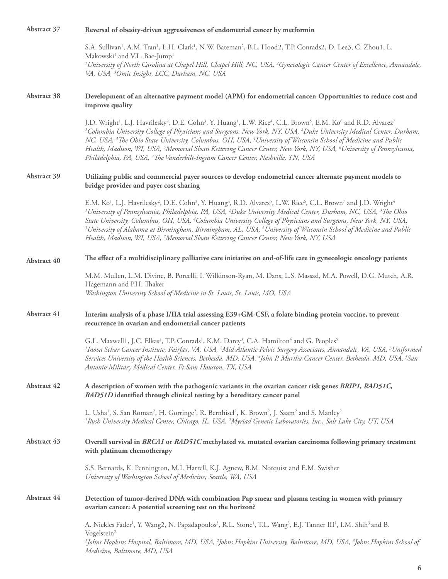| Abstract 37 | Reversal of obesity-driven aggressiveness of endometrial cancer by metformin                                                                                                                                                                                                                                                                                                                                                                                                                                                                                                                                                                                                                                                                            |
|-------------|---------------------------------------------------------------------------------------------------------------------------------------------------------------------------------------------------------------------------------------------------------------------------------------------------------------------------------------------------------------------------------------------------------------------------------------------------------------------------------------------------------------------------------------------------------------------------------------------------------------------------------------------------------------------------------------------------------------------------------------------------------|
|             | S.A. Sullivan <sup>1</sup> , A.M. Tran <sup>1</sup> , L.H. Clark <sup>1</sup> , N.W. Bateman <sup>2</sup> , B.L. Hood2, T.P. Conrads2, D. Lee3, C. Zhou1, L.<br>Makowski <sup>1</sup> and V.L. Bae-Jump <sup>1</sup>                                                                                                                                                                                                                                                                                                                                                                                                                                                                                                                                    |
|             | <sup>1</sup> University of North Carolina at Chapel Hill, Chapel Hill, NC, USA, <sup>2</sup> Gynecologic Cancer Center of Excellence, Annandale,<br>VA, USA, <sup>3</sup> Omic Insight, LCC, Durham, NC, USA                                                                                                                                                                                                                                                                                                                                                                                                                                                                                                                                            |
| Abstract 38 | Development of an alternative payment model (APM) for endometrial cancer: Opportunities to reduce cost and<br>improve quality                                                                                                                                                                                                                                                                                                                                                                                                                                                                                                                                                                                                                           |
|             | J.D. Wright <sup>1</sup> , L.J. Havrilesky <sup>2</sup> , D.E. Cohn <sup>3</sup> , Y. Huang <sup>1</sup> , L.W. Rice <sup>4</sup> , C.L. Brown <sup>5</sup> , E.M. Ko <sup>6</sup> and R.D. Alvarez <sup>7</sup><br><sup>1</sup> Columbia University College of Physicians and Surgeons, New York, NY, USA, <sup>2</sup> Duke University Medical Center, Durham,<br>NC, USA, <sup>3</sup> The Ohio State University, Columbus, OH, USA, <sup>4</sup> University of Wisconsin School of Medicine and Public<br>Health, Madison, WI, USA, <sup>5</sup> Memorial Sloan Kettering Cancer Center, New York, NY, USA, <sup>6</sup> University of Pennsylvania,<br>Philadelphia, PA, USA, <sup>7</sup> The Vanderbilt-Ingram Cancer Center, Nashville, TN, USA |
| Abstract 39 | Utilizing public and commercial payer sources to develop endometrial cancer alternate payment models to<br>bridge provider and payer cost sharing                                                                                                                                                                                                                                                                                                                                                                                                                                                                                                                                                                                                       |
|             | E.M. Ko <sup>1</sup> , L.J. Havrilesky <sup>2</sup> , D.E. Cohn <sup>3</sup> , Y. Huang <sup>4</sup> , R.D. Alvarez <sup>5</sup> , L.W. Rice <sup>6</sup> , C.L. Brown <sup>7</sup> and J.D. Wright <sup>4</sup><br><sup>1</sup> University of Pennsylvania, Philadelphia, PA, USA, <sup>2</sup> Duke University Medical Center, Durham, NC, USA, <sup>3</sup> The Ohio<br>State University, Columbus, OH, USA, <sup>4</sup> Columbia University College of Physicians and Surgeons, New York, NY, USA,<br>$^5$ University of Alabama at Birmingham, Birmingham, AL, USA, $^6$ University of Wisconsin School of Medicine and Public<br>Health, Madison, WI, USA, <sup>7</sup> Memorial Sloan Kettering Cancer Center, New York, NY, USA                |
| Abstract 40 | The effect of a multidisciplinary palliative care initiative on end-of-life care in gynecologic oncology patients                                                                                                                                                                                                                                                                                                                                                                                                                                                                                                                                                                                                                                       |
|             | M.M. Mullen, L.M. Divine, B. Porcelli, I. Wilkinson-Ryan, M. Dans, L.S. Massad, M.A. Powell, D.G. Mutch, A.R.<br>Hagemann and P.H. Thaker<br>Washington University School of Medicine in St. Louis, St. Louis, MO, USA                                                                                                                                                                                                                                                                                                                                                                                                                                                                                                                                  |
| Abstract 41 | Interim analysis of a phase I/IIA trial assessing E39+GM-CSF, a folate binding protein vaccine, to prevent<br>recurrence in ovarian and endometrial cancer patients                                                                                                                                                                                                                                                                                                                                                                                                                                                                                                                                                                                     |
|             | G.L. Maxwell1, J.C. Elkas <sup>2</sup> , T.P. Conrads <sup>1</sup> , K.M. Darcy <sup>3</sup> , C.A. Hamilton <sup>4</sup> and G. Peoples <sup>5</sup><br><sup>1</sup> Inova Schar Cancer Institute, Fairfax, VA, USA, <sup>2</sup> Mid Atlantic Pelvic Surgery Associates, Annandale, VA, USA, <sup>3</sup> Uniformed<br>Services University of the Health Sciences, Bethesda, MD, USA, <sup>4</sup> John P. Murtha Cancer Center, Bethesda, MD, USA, <sup>5</sup> San<br>Antonio Military Medical Center, Ft Sam Houston, TX, USA                                                                                                                                                                                                                      |
| Abstract 42 | A description of women with the pathogenic variants in the ovarian cancer risk genes BRIP1, RAD51C,<br>RAD51D identified through clinical testing by a hereditary cancer panel                                                                                                                                                                                                                                                                                                                                                                                                                                                                                                                                                                          |
|             | L. Usha <sup>1</sup> , S. San Roman <sup>2</sup> , H. Gorringe <sup>2</sup> , R. Bernhisel <sup>2</sup> , K. Brown <sup>2</sup> , J. Saam <sup>2</sup> and S. Manley <sup>2</sup><br><sup>1</sup> Rush University Medical Center, Chicago, IL, USA, <sup>2</sup> Myriad Genetic Laboratories, Inc., Salt Lake City, UT, USA                                                                                                                                                                                                                                                                                                                                                                                                                             |
| Abstract 43 | Overall survival in BRCA1 or RAD51C methylated vs. mutated ovarian carcinoma following primary treatment<br>with platinum chemotherapy                                                                                                                                                                                                                                                                                                                                                                                                                                                                                                                                                                                                                  |
|             | S.S. Bernards, K. Pennington, M.I. Harrell, K.J. Agnew, B.M. Norquist and E.M. Swisher<br>University of Washington School of Medicine, Seattle, WA, USA                                                                                                                                                                                                                                                                                                                                                                                                                                                                                                                                                                                                 |
| Abstract 44 | Detection of tumor-derived DNA with combination Pap smear and plasma testing in women with primary<br>ovarian cancer: A potential screening test on the horizon?                                                                                                                                                                                                                                                                                                                                                                                                                                                                                                                                                                                        |
|             | A. Nickles Fader <sup>1</sup> , Y. Wang2, N. Papadapoulos <sup>3</sup> , R.L. Stone <sup>1</sup> , T.L. Wang <sup>3</sup> , E.J. Tanner III <sup>1</sup> , I.M. Shih <sup>3</sup> and B.                                                                                                                                                                                                                                                                                                                                                                                                                                                                                                                                                                |
|             | Vogelstein <sup>2</sup><br><sup>1</sup> Johns Hopkins Hospital, Baltimore, MD, USA, <sup>2</sup> Johns Hopkins University, Baltimore, MD, USA, <sup>3</sup> Johns Hopkins School of<br>Medicine, Baltimore, MD, USA                                                                                                                                                                                                                                                                                                                                                                                                                                                                                                                                     |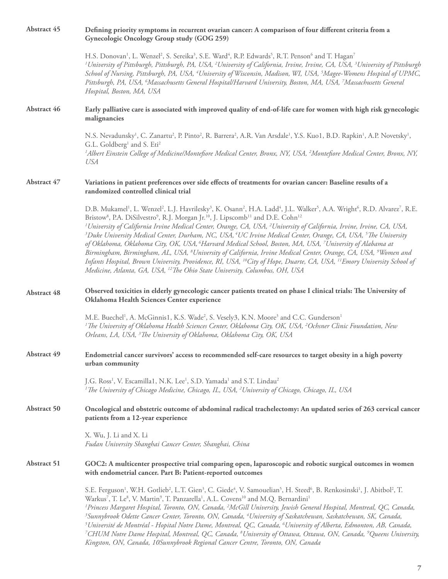| <b>Abstract 45</b> | Defining priority symptoms in recurrent ovarian cancer: A comparison of four different criteria from a<br>Gynecologic Oncology Group study (GOG 259)                                                                                                                                                                                                                                                                                                                                                                                                                                                                                                                                                                                                                                                                                                                                                                                                                                                                                                                                                                                                                                                        |
|--------------------|-------------------------------------------------------------------------------------------------------------------------------------------------------------------------------------------------------------------------------------------------------------------------------------------------------------------------------------------------------------------------------------------------------------------------------------------------------------------------------------------------------------------------------------------------------------------------------------------------------------------------------------------------------------------------------------------------------------------------------------------------------------------------------------------------------------------------------------------------------------------------------------------------------------------------------------------------------------------------------------------------------------------------------------------------------------------------------------------------------------------------------------------------------------------------------------------------------------|
|                    | H.S. Donovan <sup>1</sup> , L. Wenzel <sup>2</sup> , S. Sereika <sup>3</sup> , S.E. Ward <sup>4</sup> , R.P. Edwards <sup>5</sup> , R.T. Penson <sup>6</sup> and T. Hagan <sup>7</sup><br><sup>1</sup> University of Pittsburgh, Pittsburgh, PA, USA, <sup>2</sup> University of California, Irvine, Irvine, CA, USA, <sup>3</sup> University of Pittsburgh<br>School of Nursing, Pittsburgh, PA, USA, <sup>4</sup> University of Wisconsin, Madison, WI, USA, <sup>5</sup> Magee-Womens Hospital of UPMC,<br>Pittsburgh, PA, USA, <sup>6</sup> Massachusetts General Hospital/Harvard University, Boston, MA, USA, <sup>7</sup> Massachusetts General<br>Hospital, Boston, MA, USA                                                                                                                                                                                                                                                                                                                                                                                                                                                                                                                         |
| Abstract 46        | Early palliative care is associated with improved quality of end-of-life care for women with high risk gynecologic<br>malignancies                                                                                                                                                                                                                                                                                                                                                                                                                                                                                                                                                                                                                                                                                                                                                                                                                                                                                                                                                                                                                                                                          |
|                    | N.S. Nevadunsky <sup>1</sup> , C. Zanartu <sup>2</sup> , P. Pinto <sup>2</sup> , R. Barrera <sup>2</sup> , A.R. Van Arsdale <sup>1</sup> , Y.S. Kuo1, B.D. Rapkin <sup>1</sup> , A.P. Novetsky <sup>1</sup> ,<br>G.L. Goldberg <sup>1</sup> and S. Eti <sup>2</sup><br><sup>1</sup> Albert Einstein College of Medicine/Montefiore Medical Center, Bronx, NY, USA, <sup>2</sup> Montefiore Medical Center, Bronx, NY,<br><b>USA</b>                                                                                                                                                                                                                                                                                                                                                                                                                                                                                                                                                                                                                                                                                                                                                                         |
| Abstract 47        | Variations in patient preferences over side effects of treatments for ovarian cancer: Baseline results of a<br>randomized controlled clinical trial                                                                                                                                                                                                                                                                                                                                                                                                                                                                                                                                                                                                                                                                                                                                                                                                                                                                                                                                                                                                                                                         |
|                    | D.B. Mukamel <sup>1</sup> , L. Wenzel <sup>2</sup> , L.J. Havrilesky <sup>3</sup> , K. Osann <sup>2</sup> , H.A. Ladd <sup>4</sup> , J.L. Walker <sup>5</sup> , A.A. Wright <sup>6</sup> , R.D. Alvarez <sup>7</sup> , R.E.<br>Bristow <sup>8</sup> , P.A. DiSilvestro <sup>9</sup> , R.J. Morgan Jr. <sup>10</sup> , J. Lipscomb <sup>11</sup> and D.E. Cohn <sup>12</sup><br><sup>1</sup> University of California Irvine Medical Center, Orange, CA, USA, <sup>2</sup> University of California, Irvine, Irvine, CA, USA,<br><sup>3</sup> Duke University Medical Center, Durham, NC, USA, <sup>4</sup> UC Irvine Medical Center, Orange, CA, USA, <sup>5</sup> The University<br>of Oklahoma, Oklahoma City, OK, USA, <sup>6</sup> Harvard Medical School, Boston, MA, USA, <sup>7</sup> University of Alabama at<br>Birmingham, Birmingham, AL, USA, <sup>8</sup> University of California, Irvine Medical Center, Orange, CA, USA, <sup>9</sup> Women and<br>Infants Hospital, Brown University, Providence, RI, USA, <sup>10</sup> City of Hope, Duarte, CA, USA, <sup>11</sup> Emory University School of<br>Medicine, Atlanta, GA, USA, <sup>12</sup> The Ohio State University, Columbus, OH, USA |
| Abstract 48        | Observed toxicities in elderly gynecologic cancer patients treated on phase I clinical trials: The University of<br>Oklahoma Health Sciences Center experience                                                                                                                                                                                                                                                                                                                                                                                                                                                                                                                                                                                                                                                                                                                                                                                                                                                                                                                                                                                                                                              |
|                    | M.E. Buechel <sup>1</sup> , A. McGinnis1, K.S. Wade <sup>2</sup> , S. Vesely3, K.N. Moore <sup>3</sup> and C.C. Gunderson <sup>1</sup><br><sup>1</sup> The University of Oklahoma Health Sciences Center, Oklahoma City, OK, USA, <sup>2</sup> Ochsner Clinic Foundation, New<br>Orleans, LA, USA, <sup>3</sup> The University of Oklahoma, Oklahoma City, OK, USA                                                                                                                                                                                                                                                                                                                                                                                                                                                                                                                                                                                                                                                                                                                                                                                                                                          |
| Abstract 49        | Endometrial cancer survivors' access to recommended self-care resources to target obesity in a high poverty<br>urban community                                                                                                                                                                                                                                                                                                                                                                                                                                                                                                                                                                                                                                                                                                                                                                                                                                                                                                                                                                                                                                                                              |
|                    | J.G. Ross <sup>1</sup> , V. Escamilla1, N.K. Lee <sup>1</sup> , S.D. Yamada <sup>1</sup> and S.T. Lindau <sup>2</sup><br><sup>1</sup> The University of Chicago Medicine, Chicago, IL, USA, <sup>2</sup> University of Chicago, Chicago, IL, USA                                                                                                                                                                                                                                                                                                                                                                                                                                                                                                                                                                                                                                                                                                                                                                                                                                                                                                                                                            |
| Abstract 50        | Oncological and obstetric outcome of abdominal radical trachelectomy: An updated series of 263 cervical cancer<br>patients from a 12-year experience                                                                                                                                                                                                                                                                                                                                                                                                                                                                                                                                                                                                                                                                                                                                                                                                                                                                                                                                                                                                                                                        |
|                    | X. Wu, J. Li and X. Li<br>Fudan University Shanghai Cancer Center, Shanghai, China                                                                                                                                                                                                                                                                                                                                                                                                                                                                                                                                                                                                                                                                                                                                                                                                                                                                                                                                                                                                                                                                                                                          |
| Abstract 51        | GOC2: A multicenter prospective trial comparing open, laparoscopic and robotic surgical outcomes in women<br>with endometrial cancer. Part B: Patient-reported outcomes                                                                                                                                                                                                                                                                                                                                                                                                                                                                                                                                                                                                                                                                                                                                                                                                                                                                                                                                                                                                                                     |
|                    | S.E. Ferguson <sup>1</sup> , W.H. Gotlieb <sup>2</sup> , L.T. Gien <sup>3</sup> , C. Giede <sup>4</sup> , V. Samouelian <sup>5</sup> , H. Steed <sup>6</sup> , B. Renkosinski <sup>1</sup> , J. Abitbol <sup>2</sup> , T.<br>Warkus <sup>7</sup> , T. Le <sup>8</sup> , V. Martin <sup>9</sup> , T. Panzarella <sup>1</sup> , A.L. Covens <sup>10</sup> and M.Q. Bernardini <sup>1</sup><br><sup>1</sup> Princess Margaret Hospital, Toronto, ON, Canada, <sup>2</sup> McGill University, Jewish General Hospital, Montreal, QC, Canada,<br><sup>3</sup> Sunnybrook Odette Cancer Center, Toronto, ON, Canada, <sup>4</sup> University of Saskatchewan, Saskatchewan, SK, Canada,<br>$^5$ Université de Montréal - Hopital Notre Dame, Montreal, QC, Canada, $^6$ University of Alberta, Edmonton, AB, Canada,<br><sup>7</sup> CHUM Notre Dame Hospital, Montreal, QC, Canada, <sup>8</sup> University of Ottawa, Ottawa, ON, Canada, <sup>9</sup> Queens University,<br>Kingston, ON, Canada, 10Sunnybrook Regional Cancer Centre, Toronto, ON, Canada                                                                                                                                                     |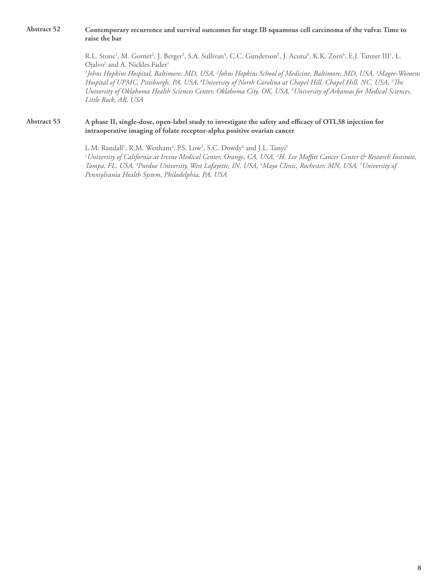# **Abstract 52 Contemporary recurrence and survival outcomes for stage IB squamous cell carcinoma of the vulva: Time to raise the bar**

R.L. Stone<sup>1</sup>, M. Gornet<sup>2</sup>, J. Berger<sup>3</sup>, S.A. Sullivan<sup>4</sup>, C.C. Gunderson<sup>5</sup>, J. Acuna<sup>6</sup>, K.K. Zorn<sup>6</sup>, E.J. Tanner III<sup>1</sup>, L. Ojalvo<sup>2</sup> and A. Nickles Fader<sup>1</sup>

*1 Johns Hopkins Hospital, Baltimore, MD, USA, 2 Johns Hopkins School of Medicine, Baltimore, MD, USA, 3 Magee-Womens Hospital of UPMC, Pittsburgh, PA, USA, 4University of North Carolina at Chapel Hill, Chapel Hill, NC, USA, 5 The University of Oklahoma Health Sciences Center, Oklahoma City, OK, USA, 6 University of Arkansas for Medical Sciences, Little Rock, AR, USA* 

# **Abstract 53 A phase II, single-dose, open-label study to investigate the safety and efficacy of OTL38 injection for intraoperative imaging of folate receptor-alpha positive ovarian cancer**

L.M. Randall<sup>1</sup>, R.M. Wenham<sup>2</sup>, P.S. Low<sup>3</sup>, S.C. Dowdy<sup>4</sup> and J.L. Tanyi<sup>5</sup> *1 University of California at Irvine Medical Center, Orange, CA, USA, 2 H. Lee Moffitt Cancer Center & Research Institute, Tampa, FL, USA, 3 Purdue University, West Lafayette, IN, USA, 4 Mayo Clinic, Rochester, MN, USA, 5 University of Pennsylvania Health System, Philadelphia, PA, USA*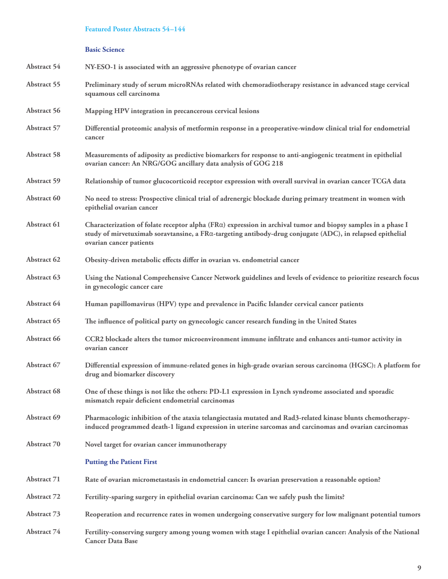# **Featured Poster Abstracts 54–144**

# **Basic Science**

| Abstract 54        | NY-ESO-1 is associated with an aggressive phenotype of ovarian cancer                                                                                                                                                                                |
|--------------------|------------------------------------------------------------------------------------------------------------------------------------------------------------------------------------------------------------------------------------------------------|
| Abstract 55        | Preliminary study of serum microRNAs related with chemoradiotherapy resistance in advanced stage cervical<br>squamous cell carcinoma                                                                                                                 |
| Abstract 56        | Mapping HPV integration in precancerous cervical lesions                                                                                                                                                                                             |
| Abstract 57        | Differential proteomic analysis of metformin response in a preoperative-window clinical trial for endometrial<br>cancer                                                                                                                              |
| Abstract 58        | Measurements of adiposity as predictive biomarkers for response to anti-angiogenic treatment in epithelial<br>ovarian cancer: An NRG/GOG ancillary data analysis of GOG 218                                                                          |
| Abstract 59        | Relationship of tumor glucocorticoid receptor expression with overall survival in ovarian cancer TCGA data                                                                                                                                           |
| Abstract 60        | No need to stress: Prospective clinical trial of adrenergic blockade during primary treatment in women with<br>epithelial ovarian cancer                                                                                                             |
| Abstract 61        | Characterization of folate receptor alpha (FRa) expression in archival tumor and biopsy samples in a phase I<br>study of mirvetuximab soravtansine, a FRa-targeting antibody-drug conjugate (ADC), in relapsed epithelial<br>ovarian cancer patients |
| Abstract 62        | Obesity-driven metabolic effects differ in ovarian vs. endometrial cancer                                                                                                                                                                            |
| Abstract 63        | Using the National Comprehensive Cancer Network guidelines and levels of evidence to prioritize research focus<br>in gynecologic cancer care                                                                                                         |
| Abstract 64        | Human papillomavirus (HPV) type and prevalence in Pacific Islander cervical cancer patients                                                                                                                                                          |
| Abstract 65        | The influence of political party on gynecologic cancer research funding in the United States                                                                                                                                                         |
| Abstract 66        | CCR2 blockade alters the tumor microenvironment immune infiltrate and enhances anti-tumor activity in<br>ovarian cancer                                                                                                                              |
| Abstract 67        | Differential expression of immune-related genes in high-grade ovarian serous carcinoma (HGSC): A platform for<br>drug and biomarker discovery                                                                                                        |
| Abstract 68        | One of these things is not like the others: PD-L1 expression in Lynch syndrome associated and sporadic<br>mismatch repair deficient endometrial carcinomas                                                                                           |
| Abstract 69        | Pharmacologic inhibition of the ataxia telangiectasia mutated and Rad3-related kinase blunts chemotherapy-<br>induced programmed death-1 ligand expression in uterine sarcomas and carcinomas and ovarian carcinomas                                 |
| Abstract 70        | Novel target for ovarian cancer immunotherapy                                                                                                                                                                                                        |
|                    | <b>Putting the Patient First</b>                                                                                                                                                                                                                     |
| Abstract 71        | Rate of ovarian micrometastasis in endometrial cancer: Is ovarian preservation a reasonable option?                                                                                                                                                  |
| <b>Abstract 72</b> | Fertility-sparing surgery in epithelial ovarian carcinoma: Can we safely push the limits?                                                                                                                                                            |
| Abstract 73        | Reoperation and recurrence rates in women undergoing conservative surgery for low malignant potential tumors                                                                                                                                         |
| Abstract 74        | Fertility-conserving surgery among young women with stage I epithelial ovarian cancer: Analysis of the National<br><b>Cancer Data Base</b>                                                                                                           |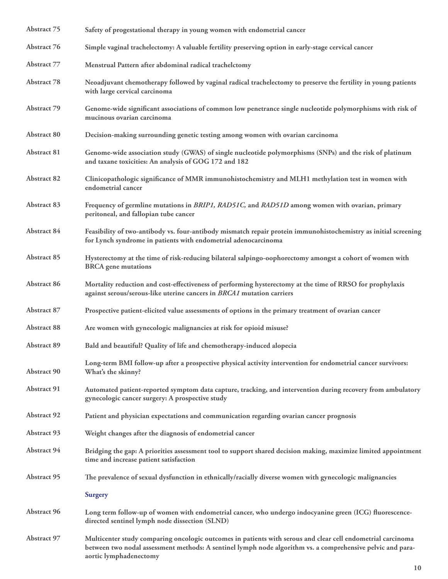| <b>Abstract 75</b> | Safety of progestational therapy in young women with endometrial cancer                                                                                                                                                                             |
|--------------------|-----------------------------------------------------------------------------------------------------------------------------------------------------------------------------------------------------------------------------------------------------|
| Abstract 76        | Simple vaginal trachelectomy: A valuable fertility preserving option in early-stage cervical cancer                                                                                                                                                 |
| <b>Abstract 77</b> | Menstrual Pattern after abdominal radical trachelctomy                                                                                                                                                                                              |
| Abstract 78        | Neoadjuvant chemotherapy followed by vaginal radical trachelectomy to preserve the fertility in young patients<br>with large cervical carcinoma                                                                                                     |
| Abstract 79        | Genome-wide significant associations of common low penetrance single nucleotide polymorphisms with risk of<br>mucinous ovarian carcinoma                                                                                                            |
| Abstract 80        | Decision-making surrounding genetic testing among women with ovarian carcinoma                                                                                                                                                                      |
| Abstract 81        | Genome-wide association study (GWAS) of single nucleotide polymorphisms (SNPs) and the risk of platinum<br>and taxane toxicities: An analysis of GOG 172 and 182                                                                                    |
| <b>Abstract 82</b> | Clinicopathologic significance of MMR immunohistochemistry and MLH1 methylation test in women with<br>endometrial cancer                                                                                                                            |
| Abstract 83        | Frequency of germline mutations in BRIP1, RAD51C, and RAD51D among women with ovarian, primary<br>peritoneal, and fallopian tube cancer                                                                                                             |
| Abstract 84        | Feasibility of two-antibody vs. four-antibody mismatch repair protein immunohistochemistry as initial screening<br>for Lynch syndrome in patients with endometrial adenocarcinoma                                                                   |
| Abstract 85        | Hysterectomy at the time of risk-reducing bilateral salpingo-oophorectomy amongst a cohort of women with<br><b>BRCA</b> gene mutations                                                                                                              |
| Abstract 86        | Mortality reduction and cost-effectiveness of performing hysterectomy at the time of RRSO for prophylaxis<br>against serous/serous-like uterine cancers in BRCA1 mutation carriers                                                                  |
| Abstract 87        | Prospective patient-elicited value assessments of options in the primary treatment of ovarian cancer                                                                                                                                                |
| Abstract 88        | Are women with gynecologic malignancies at risk for opioid misuse?                                                                                                                                                                                  |
| <b>Abstract 89</b> | Bald and beautiful? Quality of life and chemotherapy-induced alopecia                                                                                                                                                                               |
| Abstract 90        | Long-term BMI follow-up after a prospective physical activity intervention for endometrial cancer survivors:<br>What's the skinny?                                                                                                                  |
| Abstract 91        | Automated patient-reported symptom data capture, tracking, and intervention during recovery from ambulatory<br>gynecologic cancer surgery: A prospective study                                                                                      |
| <b>Abstract 92</b> | Patient and physician expectations and communication regarding ovarian cancer prognosis                                                                                                                                                             |
| Abstract 93        | Weight changes after the diagnosis of endometrial cancer                                                                                                                                                                                            |
| Abstract 94        | Bridging the gap: A priorities assessment tool to support shared decision making, maximize limited appointment<br>time and increase patient satisfaction                                                                                            |
| <b>Abstract 95</b> | The prevalence of sexual dysfunction in ethnically/racially diverse women with gynecologic malignancies                                                                                                                                             |
|                    | <b>Surgery</b>                                                                                                                                                                                                                                      |
| Abstract 96        | Long term follow-up of women with endometrial cancer, who undergo indocyanine green (ICG) fluorescence-<br>directed sentinel lymph node dissection (SLND)                                                                                           |
| <b>Abstract 97</b> | Multicenter study comparing oncologic outcomes in patients with serous and clear cell endometrial carcinoma<br>between two nodal assessment methods: A sentinel lymph node algorithm vs. a comprehensive pelvic and para-<br>aortic lymphadenectomy |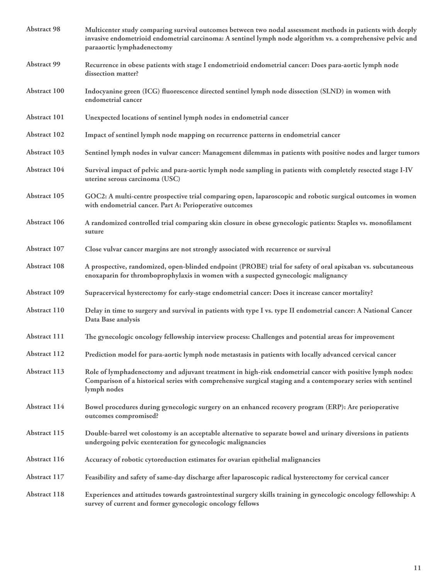| <b>Abstract 98</b> | Multicenter study comparing survival outcomes between two nodal assessment methods in patients with deeply<br>invasive endometrioid endometrial carcinoma: A sentinel lymph node algorithm vs. a comprehensive pelvic and<br>paraaortic lymphadenectomy |
|--------------------|---------------------------------------------------------------------------------------------------------------------------------------------------------------------------------------------------------------------------------------------------------|
| <b>Abstract 99</b> | Recurrence in obese patients with stage I endometrioid endometrial cancer: Does para-aortic lymph node<br>dissection matter?                                                                                                                            |
| Abstract 100       | Indocyanine green (ICG) fluorescence directed sentinel lymph node dissection (SLND) in women with<br>endometrial cancer                                                                                                                                 |
| Abstract 101       | Unexpected locations of sentinel lymph nodes in endometrial cancer                                                                                                                                                                                      |
| Abstract 102       | Impact of sentinel lymph node mapping on recurrence patterns in endometrial cancer                                                                                                                                                                      |
| Abstract 103       | Sentinel lymph nodes in vulvar cancer: Management dilemmas in patients with positive nodes and larger tumors                                                                                                                                            |
| Abstract 104       | Survival impact of pelvic and para-aortic lymph node sampling in patients with completely resected stage I-IV<br>uterine serous carcinoma (USC)                                                                                                         |
| Abstract 105       | GOC2: A multi-centre prospective trial comparing open, laparoscopic and robotic surgical outcomes in women<br>with endometrial cancer. Part A: Perioperative outcomes                                                                                   |
| Abstract 106       | A randomized controlled trial comparing skin closure in obese gynecologic patients: Staples vs. monofilament<br>suture                                                                                                                                  |
| Abstract 107       | Close vulvar cancer margins are not strongly associated with recurrence or survival                                                                                                                                                                     |
| Abstract 108       | A prospective, randomized, open-blinded endpoint (PROBE) trial for safety of oral apixaban vs. subcutaneous<br>enoxaparin for thromboprophylaxis in women with a suspected gynecologic malignancy                                                       |
| Abstract 109       | Supracervical hysterectomy for early-stage endometrial cancer: Does it increase cancer mortality?                                                                                                                                                       |
| Abstract 110       | Delay in time to surgery and survival in patients with type I vs. type II endometrial cancer: A National Cancer<br>Data Base analysis                                                                                                                   |
| Abstract 111       | The gynecologic oncology fellowship interview process: Challenges and potential areas for improvement                                                                                                                                                   |
| Abstract 112       | Prediction model for para-aortic lymph node metastasis in patients with locally advanced cervical cancer                                                                                                                                                |
| Abstract 113       | Role of lymphadenectomy and adjuvant treatment in high-risk endometrial cancer with positive lymph nodes:<br>Comparison of a historical series with comprehensive surgical staging and a contemporary series with sentinel<br>lymph nodes               |
| Abstract 114       | Bowel procedures during gynecologic surgery on an enhanced recovery program (ERP): Are perioperative<br>outcomes compromised?                                                                                                                           |
| Abstract 115       | Double-barrel wet colostomy is an acceptable alternative to separate bowel and urinary diversions in patients<br>undergoing pelvic exenteration for gynecologic malignancies                                                                            |
| Abstract 116       | Accuracy of robotic cytoreduction estimates for ovarian epithelial malignancies                                                                                                                                                                         |
| Abstract 117       | Feasibility and safety of same-day discharge after laparoscopic radical hysterectomy for cervical cancer                                                                                                                                                |
| Abstract 118       | Experiences and attitudes towards gastrointestinal surgery skills training in gynecologic oncology fellowship: A<br>survey of current and former gynecologic oncology fellows                                                                           |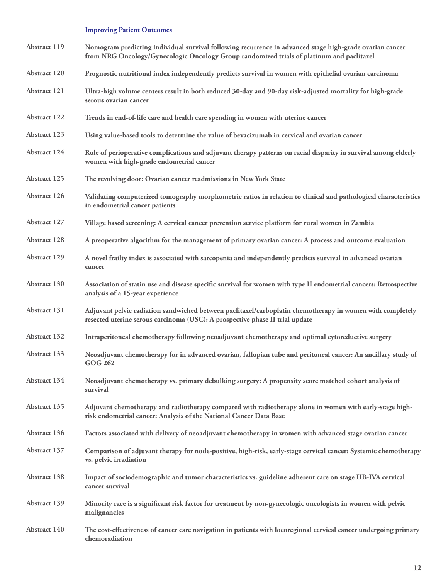# **Improving Patient Outcomes**

| Abstract 119        | Nomogram predicting individual survival following recurrence in advanced stage high-grade ovarian cancer<br>from NRG Oncology/Gynecologic Oncology Group randomized trials of platinum and paclitaxel |
|---------------------|-------------------------------------------------------------------------------------------------------------------------------------------------------------------------------------------------------|
| Abstract 120        | Prognostic nutritional index independently predicts survival in women with epithelial ovarian carcinoma                                                                                               |
| Abstract 121        | Ultra-high volume centers result in both reduced 30-day and 90-day risk-adjusted mortality for high-grade<br>serous ovarian cancer                                                                    |
| <b>Abstract 122</b> | Trends in end-of-life care and health care spending in women with uterine cancer                                                                                                                      |
| Abstract 123        | Using value-based tools to determine the value of bevacizumab in cervical and ovarian cancer                                                                                                          |
| Abstract 124        | Role of perioperative complications and adjuvant therapy patterns on racial disparity in survival among elderly<br>women with high-grade endometrial cancer                                           |
| <b>Abstract 125</b> | The revolving door: Ovarian cancer readmissions in New York State                                                                                                                                     |
| Abstract 126        | Validating computerized tomography morphometric ratios in relation to clinical and pathological characteristics<br>in endometrial cancer patients                                                     |
| Abstract 127        | Village based screening: A cervical cancer prevention service platform for rural women in Zambia                                                                                                      |
| <b>Abstract 128</b> | A preoperative algorithm for the management of primary ovarian cancer: A process and outcome evaluation                                                                                               |
| Abstract 129        | A novel frailty index is associated with sarcopenia and independently predicts survival in advanced ovarian<br>cancer                                                                                 |
| Abstract 130        | Association of statin use and disease specific survival for women with type II endometrial cancers: Retrospective<br>analysis of a 15-year experience                                                 |
| Abstract 131        | Adjuvant pelvic radiation sandwiched between paclitaxel/carboplatin chemotherapy in women with completely<br>resected uterine serous carcinoma (USC): A prospective phase II trial update             |
| Abstract 132        | Intraperitoneal chemotherapy following neoadjuvant chemotherapy and optimal cytoreductive surgery                                                                                                     |
| Abstract 133        | Neoadjuvant chemotherapy for in advanced ovarian, fallopian tube and peritoneal cancer: An ancillary study of<br><b>GOG 262</b>                                                                       |
| Abstract 134        | Neoadjuvant chemotherapy vs. primary debulking surgery: A propensity score matched cohort analysis of<br>survival                                                                                     |
| Abstract 135        | Adjuvant chemotherapy and radiotherapy compared with radiotherapy alone in women with early-stage high-<br>risk endometrial cancer: Analysis of the National Cancer Data Base                         |
| Abstract 136        | Factors associated with delivery of neoadjuvant chemotherapy in women with advanced stage ovarian cancer                                                                                              |
| Abstract 137        | Comparison of adjuvant therapy for node-positive, high-risk, early-stage cervical cancer: Systemic chemotherapy<br>vs. pelvic irradiation                                                             |
| Abstract 138        | Impact of sociodemographic and tumor characteristics vs. guideline adherent care on stage IIB-IVA cervical<br>cancer survival                                                                         |
| Abstract 139        | Minority race is a significant risk factor for treatment by non-gynecologic oncologists in women with pelvic<br>malignancies                                                                          |
| Abstract 140        | The cost-effectiveness of cancer care navigation in patients with locoregional cervical cancer undergoing primary<br>chemoradiation                                                                   |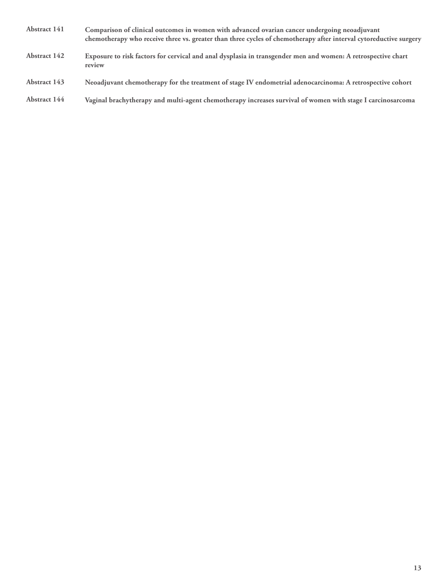- **Abstract 141 Comparison of clinical outcomes in women with advanced ovarian cancer undergoing neoadjuvant chemotherapy who receive three vs. greater than three cycles of chemotherapy after interval cytoreductive surgery**
- **Abstract 142 Exposure to risk factors for cervical and anal dysplasia in transgender men and women: A retrospective chart review**
- **Abstract 143 Neoadjuvant chemotherapy for the treatment of stage IV endometrial adenocarcinoma: A retrospective cohort**
- **Abstract 144 Vaginal brachytherapy and multi-agent chemotherapy increases survival of women with stage I carcinosarcoma**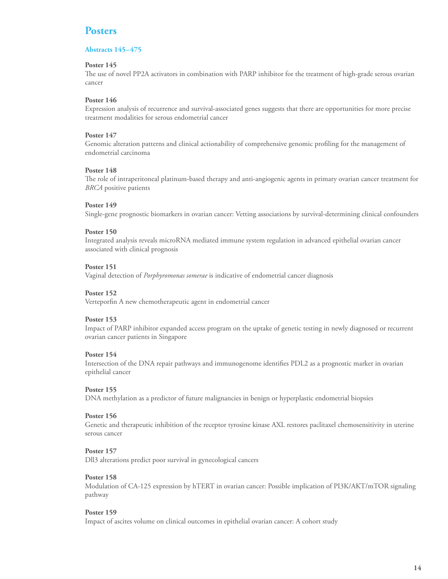# **Abstracts 145–475**

# **Poster 145**

The use of novel PP2A activators in combination with PARP inhibitor for the treatment of high-grade serous ovarian cancer

# **Poster 146**

Expression analysis of recurrence and survival-associated genes suggests that there are opportunities for more precise treatment modalities for serous endometrial cancer

# **Poster 147**

Genomic alteration patterns and clinical actionability of comprehensive genomic profiling for the management of endometrial carcinoma

# **Poster 148**

The role of intraperitoneal platinum-based therapy and anti-angiogenic agents in primary ovarian cancer treatment for *BRCA* positive patients

# **Poster 149**

Single-gene prognostic biomarkers in ovarian cancer: Vetting associations by survival-determining clinical confounders

#### **Poster 150**

Integrated analysis reveals microRNA mediated immune system regulation in advanced epithelial ovarian cancer associated with clinical prognosis

# **Poster 151**

Vaginal detection of *Porphyromonas somerae* is indicative of endometrial cancer diagnosis

# **Poster 152**

Verteporfin A new chemotherapeutic agent in endometrial cancer

#### **Poster 153**

Impact of PARP inhibitor expanded access program on the uptake of genetic testing in newly diagnosed or recurrent ovarian cancer patients in Singapore

#### **Poster 154**

Intersection of the DNA repair pathways and immunogenome identifies PDL2 as a prognostic marker in ovarian epithelial cancer

# **Poster 155**

DNA methylation as a predictor of future malignancies in benign or hyperplastic endometrial biopsies

#### **Poster 156**

Genetic and therapeutic inhibition of the receptor tyrosine kinase AXL restores paclitaxel chemosensitivity in uterine serous cancer

#### **Poster 157**

Dll3 alterations predict poor survival in gynecological cancers

#### **Poster 158**

Modulation of CA-125 expression by hTERT in ovarian cancer: Possible implication of PI3K/AKT/mTOR signaling pathway

#### **Poster 159**

Impact of ascites volume on clinical outcomes in epithelial ovarian cancer: A cohort study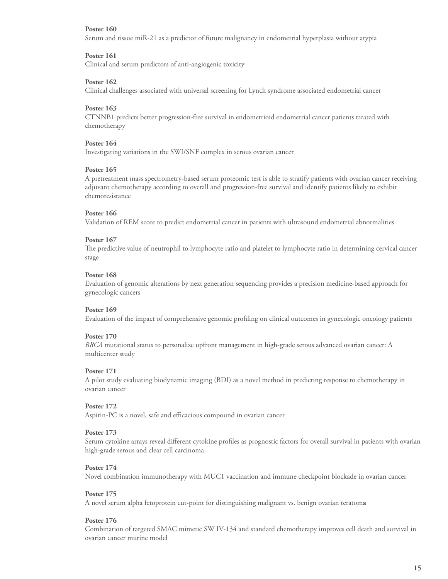Serum and tissue miR-21 as a predictor of future malignancy in endometrial hyperplasia without atypia

# **Poster 161**

Clinical and serum predictors of anti-angiogenic toxicity

# **Poster 162**

Clinical challenges associated with universal screening for Lynch syndrome associated endometrial cancer

# **Poster 163**

CTNNB1 predicts better progression-free survival in endometrioid endometrial cancer patients treated with chemotherapy

#### **Poster 164**

Investigating variations in the SWI/SNF complex in serous ovarian cancer

#### **Poster 165**

A pretreatment mass spectrometry-based serum proteomic test is able to stratify patients with ovarian cancer receiving adjuvant chemotherapy according to overall and progression-free survival and identify patients likely to exhibit chemoresistance

# **Poster 166**

Validation of REM score to predict endometrial cancer in patients with ultrasound endometrial abnormalities

# **Poster 167**

The predictive value of neutrophil to lymphocyte ratio and platelet to lymphocyte ratio in determining cervical cancer stage

#### **Poster 168**

Evaluation of genomic alterations by next generation sequencing provides a precision medicine-based approach for gynecologic cancers

#### **Poster 169**

Evaluation of the impact of comprehensive genomic profiling on clinical outcomes in gynecologic oncology patients

# **Poster 170**

*BRCA* mutational status to personalize upfront management in high-grade serous advanced ovarian cancer: A multicenter study

#### **Poster 171**

A pilot study evaluating biodynamic imaging (BDI) as a novel method in predicting response to chemotherapy in ovarian cancer

#### **Poster 172**

Aspirin-PC is a novel, safe and efficacious compound in ovarian cancer

#### **Poster 173**

Serum cytokine arrays reveal different cytokine profiles as prognostic factors for overall survival in patients with ovarian high-grade serous and clear cell carcinoma

#### **Poster 174**

Novel combination immunotherapy with MUC1 vaccination and immune checkpoint blockade in ovarian cancer

#### **Poster 175**

A novel serum alpha fetoprotein cut-point for distinguishing malignant vs. benign ovarian teratom**a** 

#### **Poster 176**

Combination of targeted SMAC mimetic SW IV-134 and standard chemotherapy improves cell death and survival in ovarian cancer murine model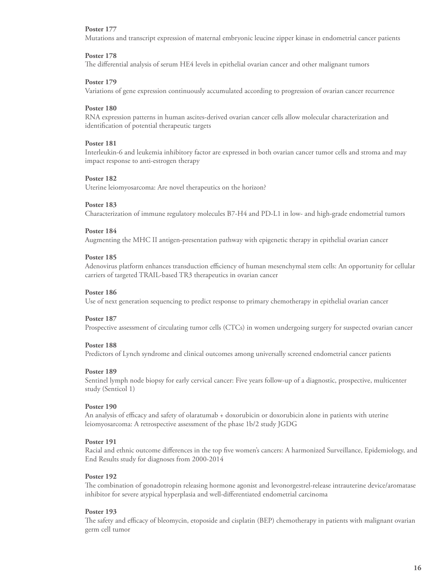Mutations and transcript expression of maternal embryonic leucine zipper kinase in endometrial cancer patients

# **Poster 178**

The differential analysis of serum HE4 levels in epithelial ovarian cancer and other malignant tumors

# **Poster 179**

Variations of gene expression continuously accumulated according to progression of ovarian cancer recurrence

# **Poster 180**

RNA expression patterns in human ascites-derived ovarian cancer cells allow molecular characterization and identification of potential therapeutic targets

#### **Poster 181**

Interleukin-6 and leukemia inhibitory factor are expressed in both ovarian cancer tumor cells and stroma and may impact response to anti-estrogen therapy

#### **Poster 182**

Uterine leiomyosarcoma: Are novel therapeutics on the horizon?

#### **Poster 183**

Characterization of immune regulatory molecules B7-H4 and PD-L1 in low- and high-grade endometrial tumors

# **Poster 184**

Augmenting the MHC II antigen-presentation pathway with epigenetic therapy in epithelial ovarian cancer

# **Poster 185**

Adenovirus platform enhances transduction efficiency of human mesenchymal stem cells: An opportunity for cellular carriers of targeted TRAIL-based TR3 therapeutics in ovarian cancer

#### **Poster 186**

Use of next generation sequencing to predict response to primary chemotherapy in epithelial ovarian cancer

#### **Poster 187**

Prospective assessment of circulating tumor cells (CTCs) in women undergoing surgery for suspected ovarian cancer

#### **Poster 188**

Predictors of Lynch syndrome and clinical outcomes among universally screened endometrial cancer patients

#### **Poster 189**

Sentinel lymph node biopsy for early cervical cancer: Five years follow-up of a diagnostic, prospective, multicenter study (Senticol 1)

# **Poster 190**

An analysis of efficacy and safety of olaratumab + doxorubicin or doxorubicin alone in patients with uterine leiomyosarcoma: A retrospective assessment of the phase 1b/2 study JGDG

#### **Poster 191**

Racial and ethnic outcome differences in the top five women's cancers: A harmonized Surveillance, Epidemiology, and End Results study for diagnoses from 2000-2014

#### **Poster 192**

The combination of gonadotropin releasing hormone agonist and levonorgestrel-release intrauterine device/aromatase inhibitor for severe atypical hyperplasia and well-differentiated endometrial carcinoma

# **Poster 193**

The safety and efficacy of bleomycin, etoposide and cisplatin (BEP) chemotherapy in patients with malignant ovarian germ cell tumor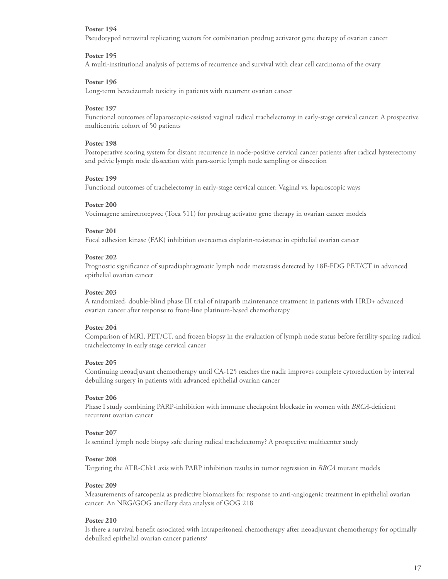Pseudotyped retroviral replicating vectors for combination prodrug activator gene therapy of ovarian cancer

#### **Poster 195**

A multi-institutional analysis of patterns of recurrence and survival with clear cell carcinoma of the ovary

# **Poster 196**

Long-term bevacizumab toxicity in patients with recurrent ovarian cancer

# **Poster 197**

Functional outcomes of laparoscopic-assisted vaginal radical trachelectomy in early-stage cervical cancer: A prospective multicentric cohort of 50 patients

#### **Poster 198**

Postoperative scoring system for distant recurrence in node-positive cervical cancer patients after radical hysterectomy and pelvic lymph node dissection with para-aortic lymph node sampling or dissection

#### **Poster 199**

Functional outcomes of trachelectomy in early-stage cervical cancer: Vaginal vs. laparoscopic ways

#### **Poster 200**

Vocimagene amiretrorepvec (Toca 511) for prodrug activator gene therapy in ovarian cancer models

# **Poster 201**

Focal adhesion kinase (FAK) inhibition overcomes cisplatin-resistance in epithelial ovarian cancer

#### **Poster 202**

Prognostic significance of supradiaphragmatic lymph node metastasis detected by 18F-FDG PET/CT in advanced epithelial ovarian cancer

# **Poster 203**

A randomized, double-blind phase III trial of niraparib maintenance treatment in patients with HRD+ advanced ovarian cancer after response to front-line platinum-based chemotherapy

# **Poster 204**

Comparison of MRI, PET/CT, and frozen biopsy in the evaluation of lymph node status before fertility-sparing radical trachelectomy in early stage cervical cancer

# **Poster 205**

Continuing neoadjuvant chemotherapy until CA-125 reaches the nadir improves complete cytoreduction by interval debulking surgery in patients with advanced epithelial ovarian cancer

#### **Poster 206**

Phase I study combining PARP-inhibition with immune checkpoint blockade in women with *BRCA*-deficient recurrent ovarian cancer

#### **Poster 207**

Is sentinel lymph node biopsy safe during radical trachelectomy? A prospective multicenter study

#### **Poster 208**

Targeting the ATR-Chk1 axis with PARP inhibition results in tumor regression in *BRCA* mutant models

#### **Poster 209**

Measurements of sarcopenia as predictive biomarkers for response to anti-angiogenic treatment in epithelial ovarian cancer: An NRG/GOG ancillary data analysis of GOG 218

# **Poster 210**

Is there a survival benefit associated with intraperitoneal chemotherapy after neoadjuvant chemotherapy for optimally debulked epithelial ovarian cancer patients?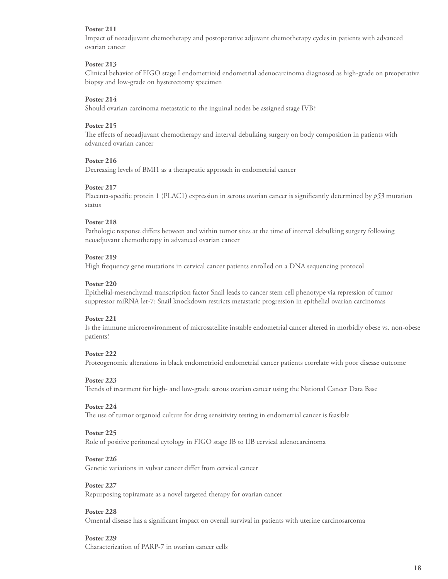Impact of neoadjuvant chemotherapy and postoperative adjuvant chemotherapy cycles in patients with advanced ovarian cancer

# **Poster 213**

Clinical behavior of FIGO stage I endometrioid endometrial adenocarcinoma diagnosed as high-grade on preoperative biopsy and low-grade on hysterectomy specimen

# **Poster 214**

Should ovarian carcinoma metastatic to the inguinal nodes be assigned stage IVB?

# **Poster 215**

The effects of neoadjuvant chemotherapy and interval debulking surgery on body composition in patients with advanced ovarian cancer

# **Poster 216**

Decreasing levels of BMI1 as a therapeutic approach in endometrial cancer

#### **Poster 217**

Placenta-specific protein 1 (PLAC1) expression in serous ovarian cancer is significantly determined by *p53* mutation status

# **Poster 218**

Pathologic response differs between and within tumor sites at the time of interval debulking surgery following neoadjuvant chemotherapy in advanced ovarian cancer

# **Poster 219**

High frequency gene mutations in cervical cancer patients enrolled on a DNA sequencing protocol

#### **Poster 220**

Epithelial-mesenchymal transcription factor Snail leads to cancer stem cell phenotype via repression of tumor suppressor miRNA let-7: Snail knockdown restricts metastatic progression in epithelial ovarian carcinomas

#### **Poster 221**

Is the immune microenvironment of microsatellite instable endometrial cancer altered in morbidly obese vs. non-obese patients?

#### **Poster 222**

Proteogenomic alterations in black endometrioid endometrial cancer patients correlate with poor disease outcome

#### **Poster 223**

Trends of treatment for high- and low-grade serous ovarian cancer using the National Cancer Data Base

#### **Poster 224**

The use of tumor organoid culture for drug sensitivity testing in endometrial cancer is feasible

#### **Poster 225**

Role of positive peritoneal cytology in FIGO stage IB to IIB cervical adenocarcinoma

#### **Poster 226**

Genetic variations in vulvar cancer differ from cervical cancer

#### **Poster 227**

Repurposing topiramate as a novel targeted therapy for ovarian cancer

#### **Poster 228**

Omental disease has a significant impact on overall survival in patients with uterine carcinosarcoma

#### **Poster 229**

Characterization of PARP-7 in ovarian cancer cells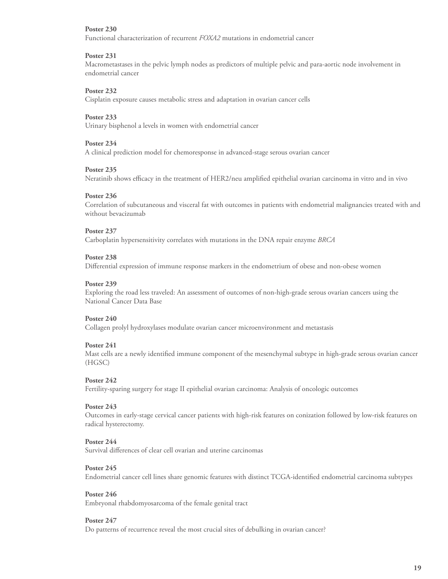Functional characterization of recurrent *FOXA2* mutations in endometrial cancer

# **Poster 231**

Macrometastases in the pelvic lymph nodes as predictors of multiple pelvic and para-aortic node involvement in endometrial cancer

# **Poster 232**

Cisplatin exposure causes metabolic stress and adaptation in ovarian cancer cells

# **Poster 233**

Urinary bisphenol a levels in women with endometrial cancer

# **Poster 234**

A clinical prediction model for chemoresponse in advanced-stage serous ovarian cancer

# **Poster 235**

Neratinib shows efficacy in the treatment of HER2/neu amplified epithelial ovarian carcinoma in vitro and in vivo

#### **Poster 236**

Correlation of subcutaneous and visceral fat with outcomes in patients with endometrial malignancies treated with and without bevacizumab

# **Poster 237**

Carboplatin hypersensitivity correlates with mutations in the DNA repair enzyme *BRCA* 

#### **Poster 238**

Differential expression of immune response markers in the endometrium of obese and non-obese women

#### **Poster 239**

Exploring the road less traveled: An assessment of outcomes of non-high-grade serous ovarian cancers using the National Cancer Data Base

# **Poster 240**

Collagen prolyl hydroxylases modulate ovarian cancer microenvironment and metastasis

#### **Poster 241**

Mast cells are a newly identified immune component of the mesenchymal subtype in high-grade serous ovarian cancer (HGSC)

#### **Poster 242**

Fertility-sparing surgery for stage II epithelial ovarian carcinoma: Analysis of oncologic outcomes

#### **Poster 243**

Outcomes in early-stage cervical cancer patients with high-risk features on conization followed by low-risk features on radical hysterectomy.

# **Poster 244**

Survival differences of clear cell ovarian and uterine carcinomas

#### **Poster 245**

Endometrial cancer cell lines share genomic features with distinct TCGA-identified endometrial carcinoma subtypes

#### **Poster 246**

Embryonal rhabdomyosarcoma of the female genital tract

# **Poster 247**

Do patterns of recurrence reveal the most crucial sites of debulking in ovarian cancer?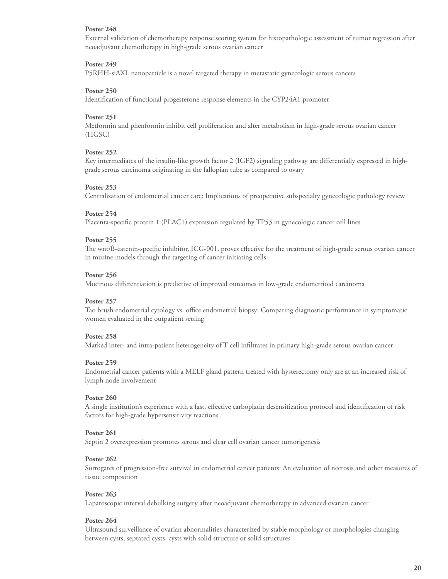External validation of chemotherapy response scoring system for histopathologic assessment of tumor regression after neoadjuvant chemotherapy in high-grade serous ovarian cancer

# **Poster 249**

P5RHH-siAXL nanoparticle is a novel targeted therapy in metastatic gynecologic serous cancers

#### **Poster 250**

Identification of functional progesterone response elements in the CYP24A1 promoter

# **Poster 251**

Metformin and phenformin inhibit cell proliferation and alter metabolism in high-grade serous ovarian cancer (HGSC)

# **Poster 252**

Key intermediates of the insulin-like growth factor 2 (IGF2) signaling pathway are differentially expressed in highgrade serous carcinoma originating in the fallopian tube as compared to ovary

# **Poster 253**

Centralization of endometrial cancer care: Implications of preoperative subspecialty gynecologic pathology review

#### **Poster 254**

Placenta-specific protein 1 (PLAC1) expression regulated by TP53 in gynecologic cancer cell lines

#### **Poster 255**

The wnt/ß-catenin-specific inhibitor, ICG-001, proves effective for the treatment of high-grade serous ovarian cancer in murine models through the targeting of cancer initiating cells

#### **Poster 256**

Mucinous differentiation is predictive of improved outcomes in low-grade endometrioid carcinoma

# **Poster 257**

Tao brush endometrial cytology vs. office endometrial biopsy: Comparing diagnostic performance in symptomatic women evaluated in the outpatient setting

#### **Poster 258**

Marked inter- and intra-patient heterogeneity of T cell infiltrates in primary high-grade serous ovarian cancer

#### **Poster 259**

Endometrial cancer patients with a MELF gland pattern treated with hysterectomy only are at an increased risk of lymph node involvement

# **Poster 260**

A single institution's experience with a fast, effective carboplatin desensitization protocol and identification of risk factors for high-grade hypersensitivity reactions

#### **Poster 261**

Septin 2 overexpression promotes serous and clear cell ovarian cancer tumorigenesis

#### **Poster 262**

Surrogates of progression-free survival in endometrial cancer patients: An evaluation of necrosis and other measures of tissue composition

#### **Poster 263**

Laparoscopic interval debulking surgery after neoadjuvant chemotherapy in advanced ovarian cancer

#### **Poster 264**

Ultrasound surveillance of ovarian abnormalities characterized by stable morphology or morphologies changing between cysts, septated cysts, cysts with solid structure or solid structures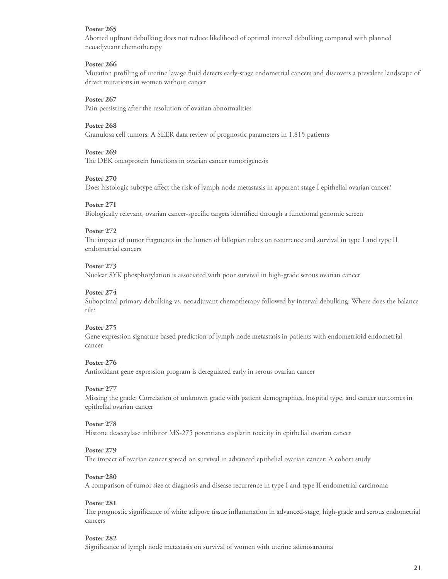Aborted upfront debulking does not reduce likelihood of optimal interval debulking compared with planned neoadjvuant chemotherapy

# **Poster 266**

Mutation profiling of uterine lavage fluid detects early-stage endometrial cancers and discovers a prevalent landscape of driver mutations in women without cancer

# **Poster 267**

Pain persisting after the resolution of ovarian abnormalities

# **Poster 268**

Granulosa cell tumors: A SEER data review of prognostic parameters in 1,815 patients

#### **Poster 269**

The DEK oncoprotein functions in ovarian cancer tumorigenesis

# **Poster 270**

Does histologic subtype affect the risk of lymph node metastasis in apparent stage I epithelial ovarian cancer?

# **Poster 271**

Biologically relevant, ovarian cancer-specific targets identified through a functional genomic screen

# **Poster 272**

The impact of tumor fragments in the lumen of fallopian tubes on recurrence and survival in type I and type II endometrial cancers

# **Poster 273**

Nuclear SYK phosphorylation is associated with poor survival in high-grade serous ovarian cancer

#### **Poster 274**

Suboptimal primary debulking vs. neoadjuvant chemotherapy followed by interval debulking: Where does the balance tilt?

# **Poster 275**

Gene expression signature based prediction of lymph node metastasis in patients with endometrioid endometrial cancer

# **Poster 276**

Antioxidant gene expression program is deregulated early in serous ovarian cancer

#### **Poster 277**

Missing the grade: Correlation of unknown grade with patient demographics, hospital type, and cancer outcomes in epithelial ovarian cancer

# **Poster 278**

Histone deacetylase inhibitor MS-275 potentiates cisplatin toxicity in epithelial ovarian cancer

#### **Poster 279**

The impact of ovarian cancer spread on survival in advanced epithelial ovarian cancer: A cohort study

#### **Poster 280**

A comparison of tumor size at diagnosis and disease recurrence in type I and type II endometrial carcinoma

#### **Poster 281**

The prognostic significance of white adipose tissue inflammation in advanced-stage, high-grade and serous endometrial cancers

#### **Poster 282**

Significance of lymph node metastasis on survival of women with uterine adenosarcoma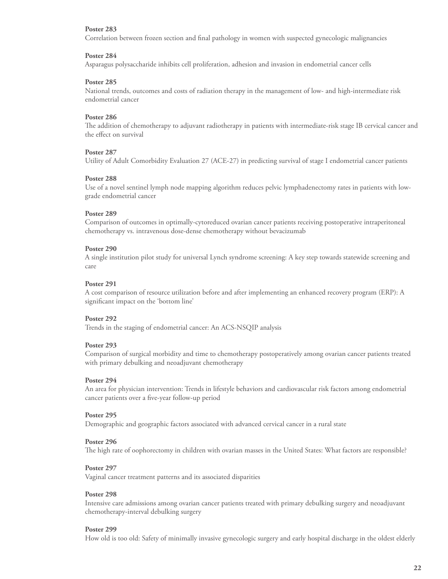Correlation between frozen section and final pathology in women with suspected gynecologic malignancies

#### **Poster 284**

Asparagus polysaccharide inhibits cell proliferation, adhesion and invasion in endometrial cancer cells

#### **Poster 285**

National trends, outcomes and costs of radiation therapy in the management of low- and high-intermediate risk endometrial cancer

#### **Poster 286**

The addition of chemotherapy to adjuvant radiotherapy in patients with intermediate-risk stage IB cervical cancer and the effect on survival

#### **Poster 287**

Utility of Adult Comorbidity Evaluation 27 (ACE-27) in predicting survival of stage I endometrial cancer patients

#### **Poster 288**

Use of a novel sentinel lymph node mapping algorithm reduces pelvic lymphadenectomy rates in patients with lowgrade endometrial cancer

#### **Poster 289**

Comparison of outcomes in optimally-cytoreduced ovarian cancer patients receiving postoperative intraperitoneal chemotherapy vs. intravenous dose-dense chemotherapy without bevacizumab

#### **Poster 290**

A single institution pilot study for universal Lynch syndrome screening: A key step towards statewide screening and care

#### **Poster 291**

A cost comparison of resource utilization before and after implementing an enhanced recovery program (ERP): A significant impact on the 'bottom line'

#### **Poster 292**

Trends in the staging of endometrial cancer: An ACS-NSQIP analysis

#### **Poster 293**

Comparison of surgical morbidity and time to chemotherapy postoperatively among ovarian cancer patients treated with primary debulking and neoadjuvant chemotherapy

#### **Poster 294**

An area for physician intervention: Trends in lifestyle behaviors and cardiovascular risk factors among endometrial cancer patients over a five-year follow-up period

#### **Poster 295**

Demographic and geographic factors associated with advanced cervical cancer in a rural state

#### **Poster 296**

The high rate of oophorectomy in children with ovarian masses in the United States: What factors are responsible?

#### **Poster 297**

Vaginal cancer treatment patterns and its associated disparities

# **Poster 298**

Intensive care admissions among ovarian cancer patients treated with primary debulking surgery and neoadjuvant chemotherapy-interval debulking surgery

#### **Poster 299**

How old is too old: Safety of minimally invasive gynecologic surgery and early hospital discharge in the oldest elderly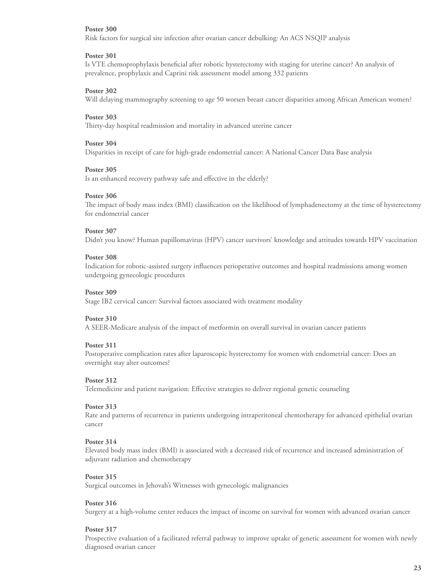Risk factors for surgical site infection after ovarian cancer debulking: An ACS NSQIP analysis

#### **Poster 301**

Is VTE chemoprophylaxis beneficial after robotic hysterectomy with staging for uterine cancer? An analysis of prevalence, prophylaxis and Caprini risk assessment model among 332 patients

# **Poster 302**

Will delaying mammography screening to age 50 worsen breast cancer disparities among African American women?

# **Poster 303**

Thirty-day hospital readmission and mortality in advanced uterine cancer

# **Poster 304**

Disparities in receipt of care for high-grade endometrial cancer: A National Cancer Data Base analysis

#### **Poster 305**

Is an enhanced recovery pathway safe and effective in the elderly?

#### **Poster 306**

The impact of body mass index (BMI) classification on the likelihood of lymphadenectomy at the time of hysterectomy for endometrial cancer

# **Poster 307**

Didn't you know? Human papillomavirus (HPV) cancer survivors' knowledge and attitudes towards HPV vaccination

#### **Poster 308**

Indication for robotic-assisted surgery influences perioperative outcomes and hospital readmissions among women undergoing gynecologic procedures

# **Poster 309**

Stage IB2 cervical cancer: Survival factors associated with treatment modality

#### **Poster 310**

A SEER-Medicare analysis of the impact of metformin on overall survival in ovarian cancer patients

#### **Poster 311**

Postoperative complication rates after laparoscopic hysterectomy for women with endometrial cancer: Does an overnight stay alter outcomes?

#### **Poster 312**

Telemedicine and patient navigation: Effective strategies to deliver regional genetic counseling

#### **Poster 313**

Rate and patterns of recurrence in patients undergoing intraperitoneal chemotherapy for advanced epithelial ovarian cancer

#### **Poster 314**

Elevated body mass index (BMI) is associated with a decreased risk of recurrence and increased administration of adjuvant radiation and chemotherapy

#### **Poster 315**

Surgical outcomes in Jehovah's Witnesses with gynecologic malignancies

#### **Poster 316**

Surgery at a high-volume center reduces the impact of income on survival for women with advanced ovarian cancer

# **Poster 317**

Prospective evaluation of a facilitated referral pathway to improve uptake of genetic assessment for women with newly diagnosed ovarian cancer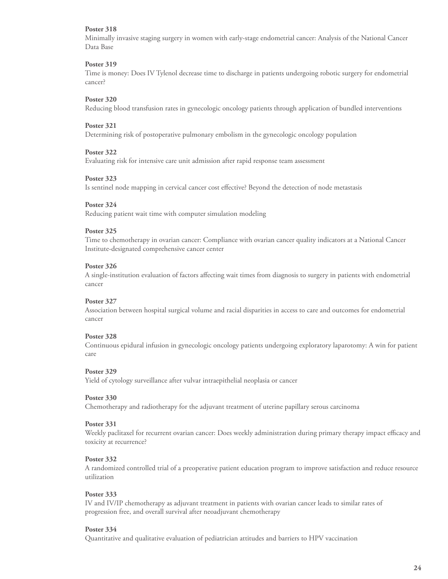Minimally invasive staging surgery in women with early-stage endometrial cancer: Analysis of the National Cancer Data Base

# **Poster 319**

Time is money: Does IV Tylenol decrease time to discharge in patients undergoing robotic surgery for endometrial cancer?

# **Poster 320**

Reducing blood transfusion rates in gynecologic oncology patients through application of bundled interventions

# **Poster 321**

Determining risk of postoperative pulmonary embolism in the gynecologic oncology population

#### **Poster 322**

Evaluating risk for intensive care unit admission after rapid response team assessment

#### **Poster 323**

Is sentinel node mapping in cervical cancer cost effective? Beyond the detection of node metastasis

# **Poster 324**

Reducing patient wait time with computer simulation modeling

# **Poster 325**

Time to chemotherapy in ovarian cancer: Compliance with ovarian cancer quality indicators at a National Cancer Institute-designated comprehensive cancer center

# **Poster 326**

A single-institution evaluation of factors affecting wait times from diagnosis to surgery in patients with endometrial cancer

# **Poster 327**

Association between hospital surgical volume and racial disparities in access to care and outcomes for endometrial cancer

#### **Poster 328**

Continuous epidural infusion in gynecologic oncology patients undergoing exploratory laparotomy: A win for patient care

#### **Poster 329**

Yield of cytology surveillance after vulvar intraepithelial neoplasia or cancer

#### **Poster 330**

Chemotherapy and radiotherapy for the adjuvant treatment of uterine papillary serous carcinoma

#### **Poster 331**

Weekly paclitaxel for recurrent ovarian cancer: Does weekly administration during primary therapy impact efficacy and toxicity at recurrence?

#### **Poster 332**

A randomized controlled trial of a preoperative patient education program to improve satisfaction and reduce resource utilization

# **Poster 333**

IV and IV/IP chemotherapy as adjuvant treatment in patients with ovarian cancer leads to similar rates of progression free, and overall survival after neoadjuvant chemotherapy

#### **Poster 334**

Quantitative and qualitative evaluation of pediatrician attitudes and barriers to HPV vaccination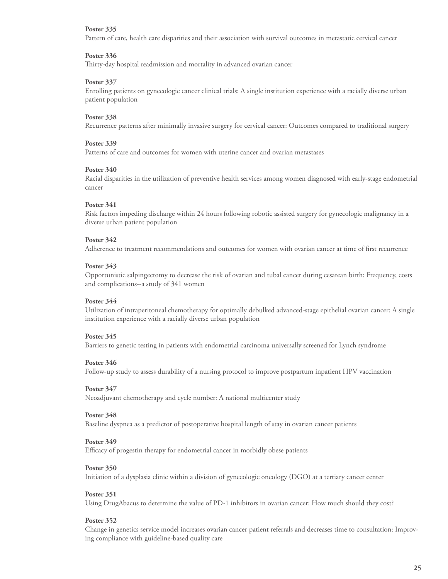Pattern of care, health care disparities and their association with survival outcomes in metastatic cervical cancer

# **Poster 336**

Thirty-day hospital readmission and mortality in advanced ovarian cancer

# **Poster 337**

Enrolling patients on gynecologic cancer clinical trials: A single institution experience with a racially diverse urban patient population

# **Poster 338**

Recurrence patterns after minimally invasive surgery for cervical cancer: Outcomes compared to traditional surgery

# **Poster 339**

Patterns of care and outcomes for women with uterine cancer and ovarian metastases

# **Poster 340**

Racial disparities in the utilization of preventive health services among women diagnosed with early-stage endometrial cancer

# **Poster 341**

Risk factors impeding discharge within 24 hours following robotic assisted surgery for gynecologic malignancy in a diverse urban patient population

# **Poster 342**

Adherence to treatment recommendations and outcomes for women with ovarian cancer at time of first recurrence

#### **Poster 343**

Opportunistic salpingectomy to decrease the risk of ovarian and tubal cancer during cesarean birth: Frequency, costs and complications--a study of 341 women

# **Poster 344**

Utilization of intraperitoneal chemotherapy for optimally debulked advanced-stage epithelial ovarian cancer: A single institution experience with a racially diverse urban population

#### **Poster 345**

Barriers to genetic testing in patients with endometrial carcinoma universally screened for Lynch syndrome

#### **Poster 346**

Follow-up study to assess durability of a nursing protocol to improve postpartum inpatient HPV vaccination

# **Poster 347**

Neoadjuvant chemotherapy and cycle number: A national multicenter study

#### **Poster 348**

Baseline dyspnea as a predictor of postoperative hospital length of stay in ovarian cancer patients

#### **Poster 349**

Efficacy of progestin therapy for endometrial cancer in morbidly obese patients

#### **Poster 350**

Initiation of a dysplasia clinic within a division of gynecologic oncology (DGO) at a tertiary cancer center

#### **Poster 351**

Using DrugAbacus to determine the value of PD-1 inhibitors in ovarian cancer: How much should they cost?

#### **Poster 352**

Change in genetics service model increases ovarian cancer patient referrals and decreases time to consultation: Improving compliance with guideline-based quality care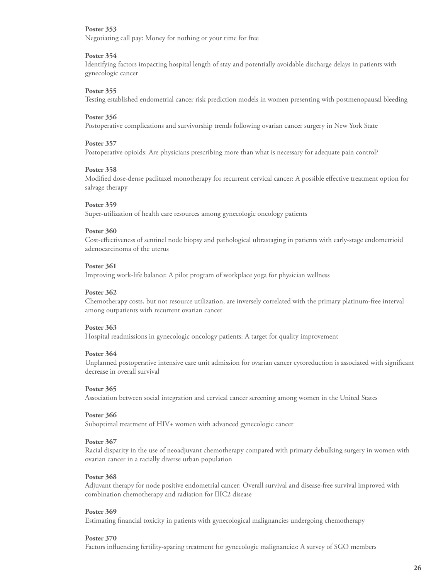Negotiating call pay: Money for nothing or your time for free

#### **Poster 354**

Identifying factors impacting hospital length of stay and potentially avoidable discharge delays in patients with gynecologic cancer

#### **Poster 355**

Testing established endometrial cancer risk prediction models in women presenting with postmenopausal bleeding

#### **Poster 356**

Postoperative complications and survivorship trends following ovarian cancer surgery in New York State

#### **Poster 357**

Postoperative opioids: Are physicians prescribing more than what is necessary for adequate pain control?

#### **Poster 358**

Modified dose-dense paclitaxel monotherapy for recurrent cervical cancer: A possible effective treatment option for salvage therapy

#### **Poster 359**

Super-utilization of health care resources among gynecologic oncology patients

#### **Poster 360**

Cost-effectiveness of sentinel node biopsy and pathological ultrastaging in patients with early-stage endometrioid adenocarcinoma of the uterus

#### **Poster 361**

Improving work-life balance: A pilot program of workplace yoga for physician wellness

#### **Poster 362**

Chemotherapy costs, but not resource utilization, are inversely correlated with the primary platinum-free interval among outpatients with recurrent ovarian cancer

#### **Poster 363**

Hospital readmissions in gynecologic oncology patients: A target for quality improvement

#### **Poster 364**

Unplanned postoperative intensive care unit admission for ovarian cancer cytoreduction is associated with significant decrease in overall survival

#### **Poster 365**

Association between social integration and cervical cancer screening among women in the United States

#### **Poster 366**

Suboptimal treatment of HIV+ women with advanced gynecologic cancer

#### **Poster 367**

Racial disparity in the use of neoadjuvant chemotherapy compared with primary debulking surgery in women with ovarian cancer in a racially diverse urban population

#### **Poster 368**

Adjuvant therapy for node positive endometrial cancer: Overall survival and disease-free survival improved with combination chemotherapy and radiation for IIIC2 disease

#### **Poster 369**

Estimating financial toxicity in patients with gynecological malignancies undergoing chemotherapy

#### **Poster 370**

Factors influencing fertility-sparing treatment for gynecologic malignancies: A survey of SGO members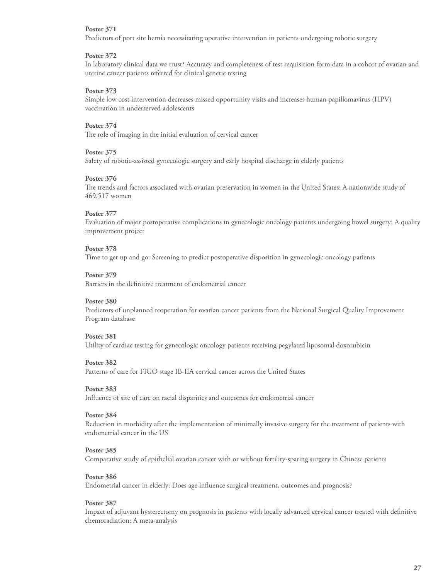Predictors of port site hernia necessitating operative intervention in patients undergoing robotic surgery

# **Poster 372**

In laboratory clinical data we trust? Accuracy and completeness of test requisition form data in a cohort of ovarian and uterine cancer patients referred for clinical genetic testing

# **Poster 373**

Simple low cost intervention decreases missed opportunity visits and increases human papillomavirus (HPV) vaccination in underserved adolescents

# **Poster 374**

The role of imaging in the initial evaluation of cervical cancer

#### **Poster 375**

Safety of robotic-assisted gynecologic surgery and early hospital discharge in elderly patients

#### **Poster 376**

The trends and factors associated with ovarian preservation in women in the United States: A nationwide study of 469,517 women

#### **Poster 377**

Evaluation of major postoperative complications in gynecologic oncology patients undergoing bowel surgery: A quality improvement project

# **Poster 378**

Time to get up and go: Screening to predict postoperative disposition in gynecologic oncology patients

#### **Poster 379**

Barriers in the definitive treatment of endometrial cancer

# **Poster 380**

Predictors of unplanned reoperation for ovarian cancer patients from the National Surgical Quality Improvement Program database

#### **Poster 381**

Utility of cardiac testing for gynecologic oncology patients receiving pegylated liposomal doxorubicin

#### **Poster 382**

Patterns of care for FIGO stage IB-IIA cervical cancer across the United States

# **Poster 383**

Influence of site of care on racial disparities and outcomes for endometrial cancer

#### **Poster 384**

Reduction in morbidity after the implementation of minimally invasive surgery for the treatment of patients with endometrial cancer in the US

#### **Poster 385**

Comparative study of epithelial ovarian cancer with or without fertility-sparing surgery in Chinese patients

#### **Poster 386**

Endometrial cancer in elderly: Does age influence surgical treatment, outcomes and prognosis?

#### **Poster 387**

Impact of adjuvant hysterectomy on prognosis in patients with locally advanced cervical cancer treated with definitive chemoradiation: A meta-analysis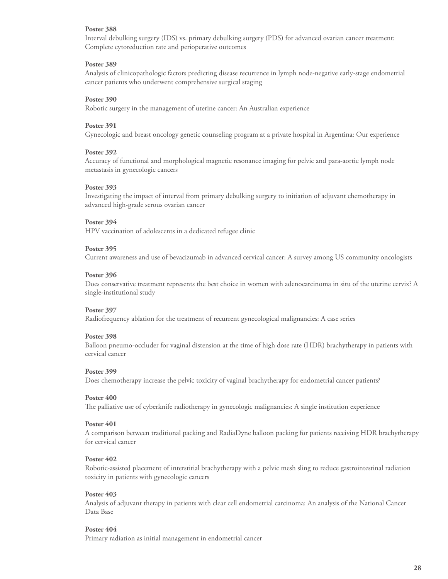Interval debulking surgery (IDS) vs. primary debulking surgery (PDS) for advanced ovarian cancer treatment: Complete cytoreduction rate and perioperative outcomes

# **Poster 389**

Analysis of clinicopathologic factors predicting disease recurrence in lymph node-negative early-stage endometrial cancer patients who underwent comprehensive surgical staging

# **Poster 390**

Robotic surgery in the management of uterine cancer: An Australian experience

# **Poster 391**

Gynecologic and breast oncology genetic counseling program at a private hospital in Argentina: Our experience

#### **Poster 392**

Accuracy of functional and morphological magnetic resonance imaging for pelvic and para-aortic lymph node metastasis in gynecologic cancers

#### **Poster 393**

Investigating the impact of interval from primary debulking surgery to initiation of adjuvant chemotherapy in advanced high-grade serous ovarian cancer

#### **Poster 394**

HPV vaccination of adolescents in a dedicated refugee clinic

#### **Poster 395**

Current awareness and use of bevacizumab in advanced cervical cancer: A survey among US community oncologists

#### **Poster 396**

Does conservative treatment represents the best choice in women with adenocarcinoma in situ of the uterine cervix? A single-institutional study

#### **Poster 397**

Radiofrequency ablation for the treatment of recurrent gynecological malignancies: A case series

#### **Poster 398**

Balloon pneumo-occluder for vaginal distension at the time of high dose rate (HDR) brachytherapy in patients with cervical cancer

#### **Poster 399**

Does chemotherapy increase the pelvic toxicity of vaginal brachytherapy for endometrial cancer patients?

#### **Poster 400**

The palliative use of cyberknife radiotherapy in gynecologic malignancies: A single institution experience

#### **Poster 401**

A comparison between traditional packing and RadiaDyne balloon packing for patients receiving HDR brachytherapy for cervical cancer

#### **Poster 402**

Robotic-assisted placement of interstitial brachytherapy with a pelvic mesh sling to reduce gastrointestinal radiation toxicity in patients with gynecologic cancers

#### **Poster 403**

Analysis of adjuvant therapy in patients with clear cell endometrial carcinoma: An analysis of the National Cancer Data Base

#### **Poster 404**

Primary radiation as initial management in endometrial cancer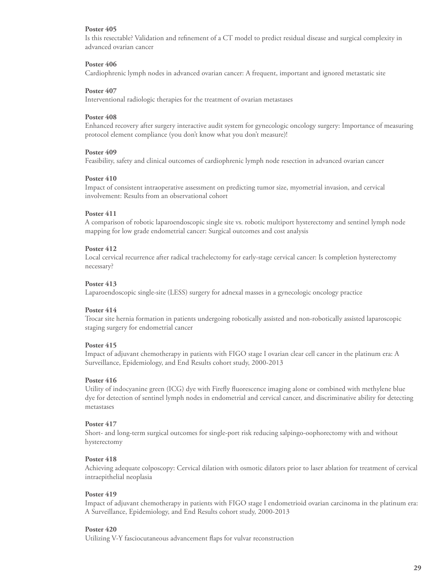Is this resectable? Validation and refinement of a CT model to predict residual disease and surgical complexity in advanced ovarian cancer

# **Poster 406**

Cardiophrenic lymph nodes in advanced ovarian cancer: A frequent, important and ignored metastatic site

#### **Poster 407**

Interventional radiologic therapies for the treatment of ovarian metastases

#### **Poster 408**

Enhanced recovery after surgery interactive audit system for gynecologic oncology surgery: Importance of measuring protocol element compliance (you don't know what you don't measure)!

# **Poster 409**

Feasibility, safety and clinical outcomes of cardiophrenic lymph node resection in advanced ovarian cancer

#### **Poster 410**

Impact of consistent intraoperative assessment on predicting tumor size, myometrial invasion, and cervical involvement: Results from an observational cohort

# **Poster 411**

A comparison of robotic laparoendoscopic single site vs. robotic multiport hysterectomy and sentinel lymph node mapping for low grade endometrial cancer: Surgical outcomes and cost analysis

# **Poster 412**

Local cervical recurrence after radical trachelectomy for early-stage cervical cancer: Is completion hysterectomy necessary?

# **Poster 413**

Laparoendoscopic single-site (LESS) surgery for adnexal masses in a gynecologic oncology practice

#### **Poster 414**

Trocar site hernia formation in patients undergoing robotically assisted and non-robotically assisted laparoscopic staging surgery for endometrial cancer

# **Poster 415**

Impact of adjuvant chemotherapy in patients with FIGO stage I ovarian clear cell cancer in the platinum era: A Surveillance, Epidemiology, and End Results cohort study, 2000-2013

#### **Poster 416**

Utility of indocyanine green (ICG) dye with Firefly fluorescence imaging alone or combined with methylene blue dye for detection of sentinel lymph nodes in endometrial and cervical cancer, and discriminative ability for detecting metastases

# **Poster 417**

Short- and long-term surgical outcomes for single-port risk reducing salpingo-oophorectomy with and without hysterectomy

# **Poster 418**

Achieving adequate colposcopy: Cervical dilation with osmotic dilators prior to laser ablation for treatment of cervical intraepithelial neoplasia

#### **Poster 419**

Impact of adjuvant chemotherapy in patients with FIGO stage I endometrioid ovarian carcinoma in the platinum era: A Surveillance, Epidemiology, and End Results cohort study, 2000-2013

# **Poster 420**

Utilizing V-Y fasciocutaneous advancement flaps for vulvar reconstruction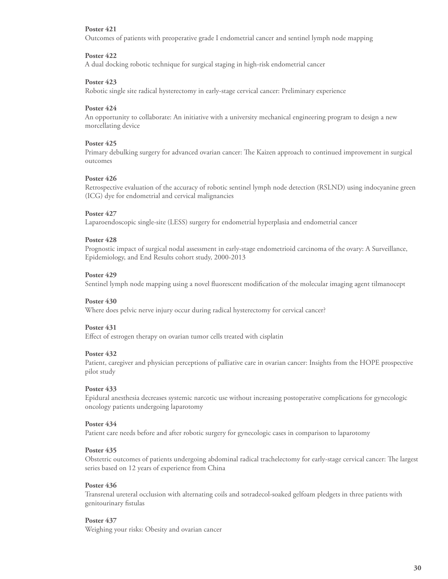Outcomes of patients with preoperative grade I endometrial cancer and sentinel lymph node mapping

# **Poster 422**

A dual docking robotic technique for surgical staging in high-risk endometrial cancer

# **Poster 423**

Robotic single site radical hysterectomy in early-stage cervical cancer: Preliminary experience

# **Poster 424**

An opportunity to collaborate: An initiative with a university mechanical engineering program to design a new morcellating device

# **Poster 425**

Primary debulking surgery for advanced ovarian cancer: The Kaizen approach to continued improvement in surgical outcomes

# **Poster 426**

Retrospective evaluation of the accuracy of robotic sentinel lymph node detection (RSLND) using indocyanine green (ICG) dye for endometrial and cervical malignancies

# **Poster 427**

Laparoendoscopic single-site (LESS) surgery for endometrial hyperplasia and endometrial cancer

# **Poster 428**

Prognostic impact of surgical nodal assessment in early-stage endometrioid carcinoma of the ovary: A Surveillance, Epidemiology, and End Results cohort study, 2000-2013

# **Poster 429**

Sentinel lymph node mapping using a novel fluorescent modification of the molecular imaging agent tilmanocept

# **Poster 430**

Where does pelvic nerve injury occur during radical hysterectomy for cervical cancer?

# **Poster 431**

Effect of estrogen therapy on ovarian tumor cells treated with cisplatin

#### **Poster 432**

Patient, caregiver and physician perceptions of palliative care in ovarian cancer: Insights from the HOPE prospective pilot study

#### **Poster 433**

Epidural anesthesia decreases systemic narcotic use without increasing postoperative complications for gynecologic oncology patients undergoing laparotomy

#### **Poster 434**

Patient care needs before and after robotic surgery for gynecologic cases in comparison to laparotomy

#### **Poster 435**

Obstetric outcomes of patients undergoing abdominal radical trachelectomy for early-stage cervical cancer: The largest series based on 12 years of experience from China

#### **Poster 436**

Transrenal ureteral occlusion with alternating coils and sotradecol-soaked gelfoam pledgets in three patients with genitourinary fistulas

#### **Poster 437**

Weighing your risks: Obesity and ovarian cancer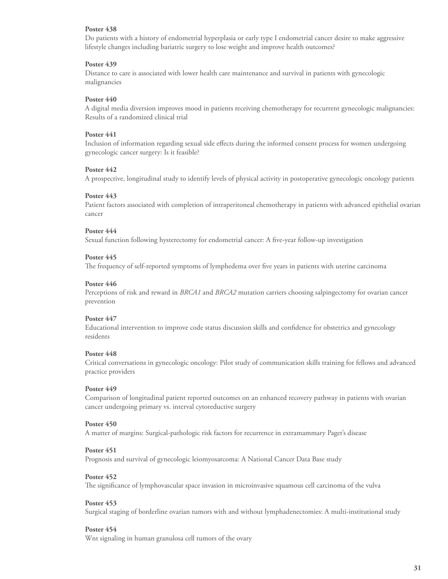Do patients with a history of endometrial hyperplasia or early type I endometrial cancer desire to make aggressive lifestyle changes including bariatric surgery to lose weight and improve health outcomes?

# **Poster 439**

Distance to care is associated with lower health care maintenance and survival in patients with gynecologic malignancies

# **Poster 440**

A digital media diversion improves mood in patients receiving chemotherapy for recurrent gynecologic malignancies: Results of a randomized clinical trial

# **Poster 441**

Inclusion of information regarding sexual side effects during the informed consent process for women undergoing gynecologic cancer surgery: Is it feasible?

# **Poster 442**

A prospective, longitudinal study to identify levels of physical activity in postoperative gynecologic oncology patients

#### **Poster 443**

Patient factors associated with completion of intraperitoneal chemotherapy in patients with advanced epithelial ovarian cancer

# **Poster 444**

Sexual function following hysterectomy for endometrial cancer: A five-year follow-up investigation

#### **Poster 445**

The frequency of self-reported symptoms of lymphedema over five years in patients with uterine carcinoma

#### **Poster 446**

Perceptions of risk and reward in *BRCA1* and *BRCA2* mutation carriers choosing salpingectomy for ovarian cancer prevention

#### **Poster 447**

Educational intervention to improve code status discussion skills and confidence for obstetrics and gynecology residents

#### **Poster 448**

Critical conversations in gynecologic oncology: Pilot study of communication skills training for fellows and advanced practice providers

#### **Poster 449**

Comparison of longitudinal patient reported outcomes on an enhanced recovery pathway in patients with ovarian cancer undergoing primary vs. interval cytoreductive surgery

#### **Poster 450**

A matter of margins: Surgical-pathologic risk factors for recurrence in extramammary Paget's disease

#### **Poster 451**

Prognosis and survival of gynecologic leiomyosarcoma: A National Cancer Data Base study

#### **Poster 452**

The significance of lymphovascular space invasion in microinvasive squamous cell carcinoma of the vulva

#### **Poster 453**

Surgical staging of borderline ovarian tumors with and without lymphadenectomies: A multi-institutional study

#### **Poster 454**

Wnt signaling in human granulosa cell tumors of the ovary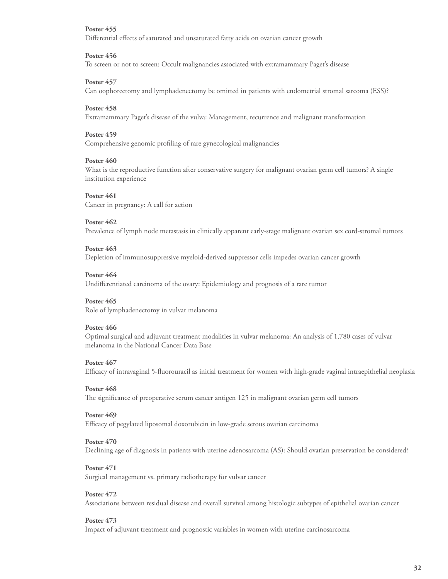Differential effects of saturated and unsaturated fatty acids on ovarian cancer growth

#### **Poster 456**

To screen or not to screen: Occult malignancies associated with extramammary Paget's disease

# **Poster 457**

Can oophorectomy and lymphadenectomy be omitted in patients with endometrial stromal sarcoma (ESS)?

# **Poster 458**

Extramammary Paget's disease of the vulva: Management, recurrence and malignant transformation

# **Poster 459**

Comprehensive genomic profiling of rare gynecological malignancies

# **Poster 460**

What is the reproductive function after conservative surgery for malignant ovarian germ cell tumors? A single institution experience

#### **Poster 461**

Cancer in pregnancy: A call for action

#### **Poster 462**

Prevalence of lymph node metastasis in clinically apparent early-stage malignant ovarian sex cord-stromal tumors

#### **Poster 463**

Depletion of immunosuppressive myeloid-derived suppressor cells impedes ovarian cancer growth

#### **Poster 464**

Undifferentiated carcinoma of the ovary: Epidemiology and prognosis of a rare tumor

# **Poster 465**

Role of lymphadenectomy in vulvar melanoma

#### **Poster 466**

Optimal surgical and adjuvant treatment modalities in vulvar melanoma: An analysis of 1,780 cases of vulvar melanoma in the National Cancer Data Base

#### **Poster 467**

Efficacy of intravaginal 5-fluorouracil as initial treatment for women with high-grade vaginal intraepithelial neoplasia

# **Poster 468**

The significance of preoperative serum cancer antigen 125 in malignant ovarian germ cell tumors

#### **Poster 469**

Efficacy of pegylated liposomal doxorubicin in low-grade serous ovarian carcinoma

#### **Poster 470**

Declining age of diagnosis in patients with uterine adenosarcoma (AS): Should ovarian preservation be considered?

#### **Poster 471**

Surgical management vs. primary radiotherapy for vulvar cancer

#### **Poster 472**

Associations between residual disease and overall survival among histologic subtypes of epithelial ovarian cancer

#### **Poster 473**

Impact of adjuvant treatment and prognostic variables in women with uterine carcinosarcoma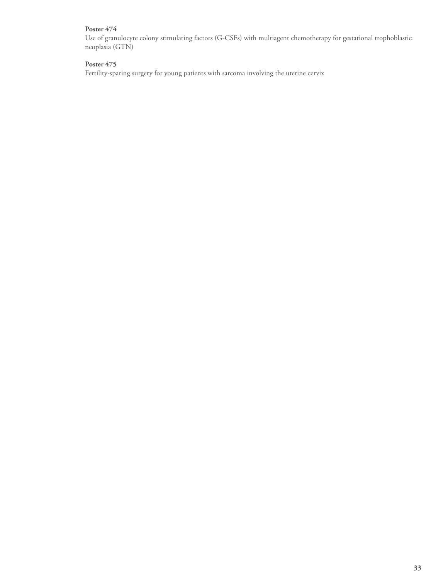Use of granulocyte colony stimulating factors (G-CSFs) with multiagent chemotherapy for gestational trophoblastic neoplasia (GTN)

# **Poster 475**

Fertility-sparing surgery for young patients with sarcoma involving the uterine cervix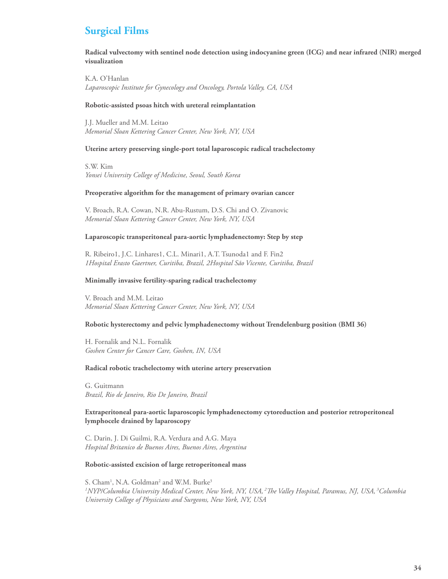# **Surgical Films**

**Radical vulvectomy with sentinel node detection using indocyanine green (ICG) and near infrared (NIR) merged visualization**

K.A. O'Hanlan *Laparoscopic Institute for Gynecology and Oncology, Portola Valley, CA, USA* 

#### **Robotic-assisted psoas hitch with ureteral reimplantation**

J.J. Mueller and M.M. Leitao *Memorial Sloan Kettering Cancer Center, New York, NY, USA* 

#### **Uterine artery preserving single-port total laparoscopic radical trachelectomy**

S.W. Kim *Yonsei University College of Medicine, Seoul, South Korea* 

#### **Preoperative algorithm for the management of primary ovarian cancer**

V. Broach, R.A. Cowan, N.R. Abu-Rustum, D.S. Chi and O. Zivanovic *Memorial Sloan Kettering Cancer Center, New York, NY, USA* 

#### **Laparoscopic transperitoneal para-aortic lymphadenectomy: Step by step**

R. Ribeiro1, J.C. Linhares1, C.L. Minari1, A.T. Tsunoda1 and F. Fin2 *1Hospital Erasto Gaertner, Curitiba, Brazil, 2Hospital São Vicente, Curitiba, Brazil* 

# **Minimally invasive fertility-sparing radical trachelectomy**

V. Broach and M.M. Leitao *Memorial Sloan Kettering Cancer Center, New York, NY, USA* 

#### **Robotic hysterectomy and pelvic lymphadenectomy without Trendelenburg position (BMI 36)**

H. Fornalik and N.L. Fornalik *Goshen Center for Cancer Care, Goshen, IN, USA* 

#### **Radical robotic trachelectomy with uterine artery preservation**

G. Guitmann *Brazil, Rio de Janeiro, Rio De Janeiro, Brazil* 

**Extraperitoneal para-aortic laparoscopic lymphadenectomy cytoreduction and posterior retroperitoneal lymphocele drained by laparoscopy** 

C. Darin, J. Di Guilmi, R.A. Verdura and A.G. Maya *Hospital Britanico de Buenos Aires, Buenos Aires, Argentina* 

#### **Robotic-assisted excision of large retroperitoneal mass**

S. Cham<sup>1</sup>, N.A. Goldman<sup>2</sup> and W.M. Burke<sup>3</sup> *1 NYP/Columbia University Medical Center, New York, NY, USA, 2The Valley Hospital, Paramus, NJ, USA, 3Columbia University College of Physicians and Surgeons, New York, NY, USA*